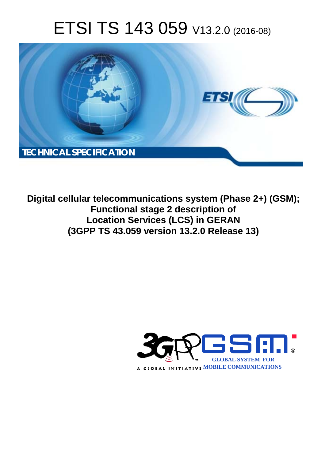# ETSI TS 143 059 V13.2.0 (2016-08)



**Digital cellular telecommunications system (Phase 2+) (GSM); Functional stage 2 description of Location Services (LCS) in GERAN (3GPP TS 43.0 .059 version 13.2.0 Release 13 13)** 

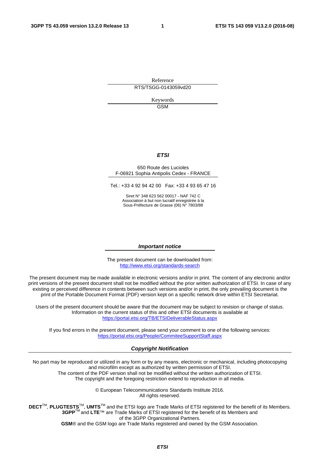Reference RTS/TSGG-0143059vd20

> Keywords **GSM**

#### *ETSI*

#### 650 Route des Lucioles F-06921 Sophia Antipolis Cedex - FRANCE

Tel.: +33 4 92 94 42 00 Fax: +33 4 93 65 47 16

Siret N° 348 623 562 00017 - NAF 742 C Association à but non lucratif enregistrée à la Sous-Préfecture de Grasse (06) N° 7803/88

#### *Important notice*

The present document can be downloaded from: <http://www.etsi.org/standards-search>

The present document may be made available in electronic versions and/or in print. The content of any electronic and/or print versions of the present document shall not be modified without the prior written authorization of ETSI. In case of any existing or perceived difference in contents between such versions and/or in print, the only prevailing document is the print of the Portable Document Format (PDF) version kept on a specific network drive within ETSI Secretariat.

Users of the present document should be aware that the document may be subject to revision or change of status. Information on the current status of this and other ETSI documents is available at <https://portal.etsi.org/TB/ETSIDeliverableStatus.aspx>

If you find errors in the present document, please send your comment to one of the following services: <https://portal.etsi.org/People/CommiteeSupportStaff.aspx>

#### *Copyright Notification*

No part may be reproduced or utilized in any form or by any means, electronic or mechanical, including photocopying and microfilm except as authorized by written permission of ETSI.

The content of the PDF version shall not be modified without the written authorization of ETSI. The copyright and the foregoing restriction extend to reproduction in all media.

> © European Telecommunications Standards Institute 2016. All rights reserved.

**DECT**TM, **PLUGTESTS**TM, **UMTS**TM and the ETSI logo are Trade Marks of ETSI registered for the benefit of its Members. **3GPP**TM and **LTE**™ are Trade Marks of ETSI registered for the benefit of its Members and of the 3GPP Organizational Partners.

**GSM**® and the GSM logo are Trade Marks registered and owned by the GSM Association.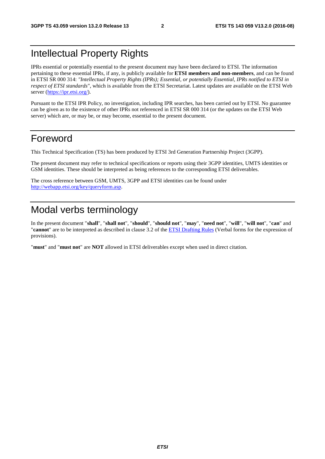# <span id="page-2-0"></span>Intellectual Property Rights

IPRs essential or potentially essential to the present document may have been declared to ETSI. The information pertaining to these essential IPRs, if any, is publicly available for **ETSI members and non-members**, and can be found in ETSI SR 000 314: *"Intellectual Property Rights (IPRs); Essential, or potentially Essential, IPRs notified to ETSI in respect of ETSI standards"*, which is available from the ETSI Secretariat. Latest updates are available on the ETSI Web server [\(https://ipr.etsi.org/](https://ipr.etsi.org/)).

Pursuant to the ETSI IPR Policy, no investigation, including IPR searches, has been carried out by ETSI. No guarantee can be given as to the existence of other IPRs not referenced in ETSI SR 000 314 (or the updates on the ETSI Web server) which are, or may be, or may become, essential to the present document.

# Foreword

This Technical Specification (TS) has been produced by ETSI 3rd Generation Partnership Project (3GPP).

The present document may refer to technical specifications or reports using their 3GPP identities, UMTS identities or GSM identities. These should be interpreted as being references to the corresponding ETSI deliverables.

The cross reference between GSM, UMTS, 3GPP and ETSI identities can be found under [http://webapp.etsi.org/key/queryform.asp.](http://webapp.etsi.org/key/queryform.asp)

# Modal verbs terminology

In the present document "**shall**", "**shall not**", "**should**", "**should not**", "**may**", "**need not**", "**will**", "**will not**", "**can**" and "**cannot**" are to be interpreted as described in clause 3.2 of the [ETSI Drafting Rules](https://portal.etsi.org/Services/editHelp!/Howtostart/ETSIDraftingRules.aspx) (Verbal forms for the expression of provisions).

"**must**" and "**must not**" are **NOT** allowed in ETSI deliverables except when used in direct citation.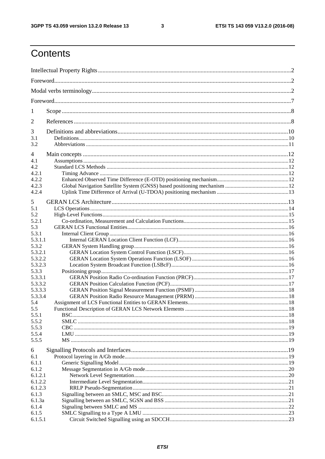$\mathbf{3}$ 

# Contents

| 1            |  |
|--------------|--|
| 2            |  |
| 3            |  |
| 3.1          |  |
| 3.2          |  |
| 4            |  |
| 4.1          |  |
| 4.2          |  |
| 4.2.1        |  |
| 4.2.2        |  |
| 4.2.3        |  |
| 4.2.4        |  |
|              |  |
| 5            |  |
| 5.1          |  |
| 5.2<br>5.2.1 |  |
| 5.3          |  |
| 5.3.1        |  |
| 5.3.1.1      |  |
| 5.3.2        |  |
| 5.3.2.1      |  |
| 5.3.2.2      |  |
| 5.3.2.3      |  |
| 5.3.3        |  |
| 5.3.3.1      |  |
| 5.3.3.2      |  |
| 5.3.3.3      |  |
| 5.3.3.4      |  |
| 5.4          |  |
| 5.5          |  |
| 5.5.1        |  |
| 5.5.2        |  |
| 5.5.3        |  |
| 5.5.4        |  |
| 5.5.5        |  |
| 6            |  |
| 6.1          |  |
| 6.1.1        |  |
| 6.1.2        |  |
| 6.1.2.1      |  |
| 6.1.2.2      |  |
| 6.1.2.3      |  |
| 6.1.3        |  |
| 6.1.3a       |  |
| 6.1.4        |  |
| 6.1.5        |  |
| 6.1.5.1      |  |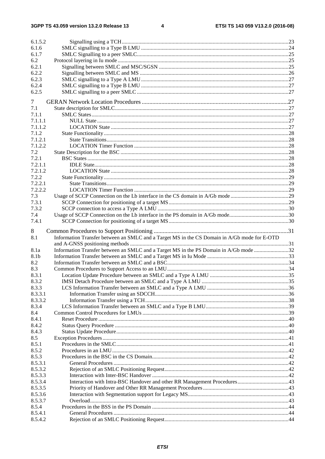$\overline{\mathbf{4}}$ 

| 6.1.5.2            |                                                                                              |  |
|--------------------|----------------------------------------------------------------------------------------------|--|
| 6.1.6              |                                                                                              |  |
| 6.1.7              |                                                                                              |  |
| 6.2                |                                                                                              |  |
| 6.2.1              |                                                                                              |  |
| 6.2.2              |                                                                                              |  |
| 6.2.3              |                                                                                              |  |
| 6.2.4              |                                                                                              |  |
| 6.2.5              |                                                                                              |  |
|                    |                                                                                              |  |
| 7                  |                                                                                              |  |
| 7.1                |                                                                                              |  |
| 7.1.1              |                                                                                              |  |
| 7.1.1.1            |                                                                                              |  |
| 7.1.1.2            |                                                                                              |  |
| 7.1.2              |                                                                                              |  |
| 7.1.2.1            |                                                                                              |  |
| 7.1.2.2            |                                                                                              |  |
| 7.2                |                                                                                              |  |
| 7.2.1              |                                                                                              |  |
| 7.2.1.1            |                                                                                              |  |
| 7.2.1.2            |                                                                                              |  |
| 7.2.2              |                                                                                              |  |
| 7.2.2.1            |                                                                                              |  |
| 7.2.2.2            |                                                                                              |  |
| 7.3                |                                                                                              |  |
| 7.3.1              |                                                                                              |  |
| 7.3.2              |                                                                                              |  |
| 7.4                |                                                                                              |  |
| 7.4.1              |                                                                                              |  |
|                    |                                                                                              |  |
|                    |                                                                                              |  |
| 8                  |                                                                                              |  |
| 8.1                | Information Transfer between an SMLC and a Target MS in the CS Domain in A/Gb mode for E-OTD |  |
|                    |                                                                                              |  |
| 8.1a               | Information Transfer between an SMLC and a Target MS in the PS Domain in A/Gb mode 32        |  |
| 8.1b               |                                                                                              |  |
| 8.2                |                                                                                              |  |
| 8.3                |                                                                                              |  |
| 8.3.1              |                                                                                              |  |
| 8.3.2              |                                                                                              |  |
| 8.3.3              |                                                                                              |  |
| 8.3.3.1            |                                                                                              |  |
| 8.3.3.2            |                                                                                              |  |
| 8.3.4              |                                                                                              |  |
| 8.4                |                                                                                              |  |
| 8.4.1              |                                                                                              |  |
| 8.4.2              |                                                                                              |  |
|                    |                                                                                              |  |
| 8.4.3<br>8.5       |                                                                                              |  |
|                    |                                                                                              |  |
| 8.5.1<br>8.5.2     |                                                                                              |  |
| 8.5.3              |                                                                                              |  |
| 8.5.3.1            |                                                                                              |  |
|                    |                                                                                              |  |
| 8.5.3.2            |                                                                                              |  |
| 8.5.3.3            |                                                                                              |  |
| 8.5.3.4            |                                                                                              |  |
| 8.5.3.5            |                                                                                              |  |
| 8.5.3.6            |                                                                                              |  |
| 8.5.3.7            |                                                                                              |  |
| 8.5.4              |                                                                                              |  |
| 8.5.4.1<br>8.5.4.2 |                                                                                              |  |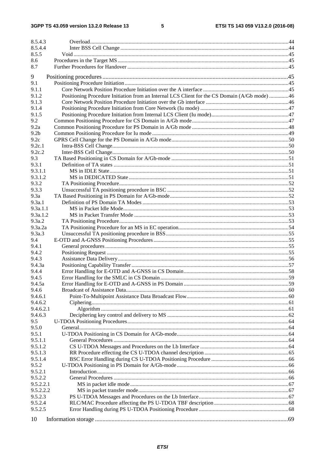$5\phantom{a}$ 

| 8.5.4.3            |                                                                                               |  |
|--------------------|-----------------------------------------------------------------------------------------------|--|
| 8.5.4.4            |                                                                                               |  |
| 8.5.5              |                                                                                               |  |
| 8.6                |                                                                                               |  |
| 8.7                |                                                                                               |  |
| 9                  |                                                                                               |  |
| 9.1                |                                                                                               |  |
| 9.1.1              |                                                                                               |  |
| 9.1.2              | Positioning Procedure Initiation from an Internal LCS Client for the CS Domain (A/Gb mode) 46 |  |
| 9.1.3              |                                                                                               |  |
| 9.1.4              |                                                                                               |  |
| 9.1.5              |                                                                                               |  |
| 9.2                |                                                                                               |  |
| 9.2a               |                                                                                               |  |
| 9.2 <sub>b</sub>   |                                                                                               |  |
| 9.2c               |                                                                                               |  |
| 9.2c.1             |                                                                                               |  |
| 9.2c.2             |                                                                                               |  |
| 9.3                |                                                                                               |  |
| 9.3.1              |                                                                                               |  |
| 9.3.1.1<br>9.3.1.2 |                                                                                               |  |
| 9.3.2              |                                                                                               |  |
| 9.3.3              |                                                                                               |  |
| 9.3a               |                                                                                               |  |
| 9.3a.1             |                                                                                               |  |
| 9.3a.1.1           |                                                                                               |  |
| 9.3a.1.2           |                                                                                               |  |
| 9.3a.2             |                                                                                               |  |
| 9.3a.2a            |                                                                                               |  |
| 9.3a.3             |                                                                                               |  |
| 9.4                |                                                                                               |  |
| 9.4.1              |                                                                                               |  |
| 9.4.2              |                                                                                               |  |
| 9.4.3              |                                                                                               |  |
| 9.4.3a             |                                                                                               |  |
| 9.4.4              |                                                                                               |  |
| 9.4.5              |                                                                                               |  |
| 9.4.5a             |                                                                                               |  |
| 9.4.6              |                                                                                               |  |
| 9.4.6.1            |                                                                                               |  |
| 9.4.6.2            |                                                                                               |  |
| 9.4.6.2.1          |                                                                                               |  |
| 9.4.6.3            |                                                                                               |  |
| 9.5                |                                                                                               |  |
| 9.5.0              |                                                                                               |  |
| 9.5.1              |                                                                                               |  |
| 9.5.1.1            |                                                                                               |  |
| 9.5.1.2            |                                                                                               |  |
| 9.5.1.3            |                                                                                               |  |
| 9.5.1.4            |                                                                                               |  |
| 9.5.2<br>9.5.2.1   |                                                                                               |  |
| 9.5.2.2            |                                                                                               |  |
| 9.5.2.2.1          |                                                                                               |  |
| 9.5.2.2.2          |                                                                                               |  |
| 9.5.2.3            |                                                                                               |  |
| 9.5.2.4            |                                                                                               |  |
| 9.5.2.5            |                                                                                               |  |
|                    |                                                                                               |  |
| 10                 |                                                                                               |  |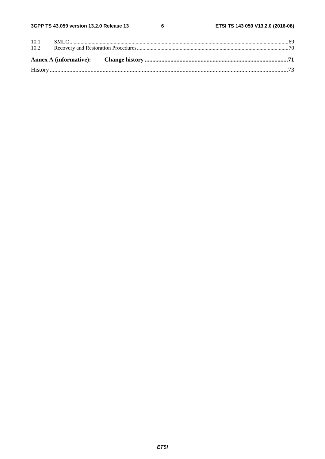$\bf 6$ 

| 10.1 |  |  |
|------|--|--|
| 10.2 |  |  |
|      |  |  |
|      |  |  |
|      |  |  |
|      |  |  |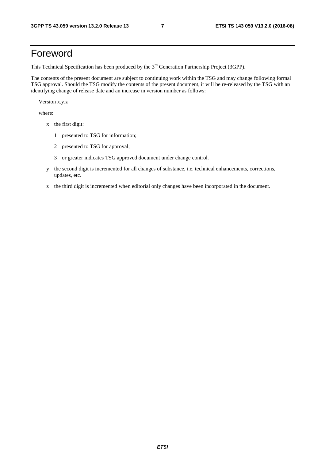# <span id="page-7-0"></span>Foreword

This Technical Specification has been produced by the 3<sup>rd</sup> Generation Partnership Project (3GPP).

The contents of the present document are subject to continuing work within the TSG and may change following formal TSG approval. Should the TSG modify the contents of the present document, it will be re-released by the TSG with an identifying change of release date and an increase in version number as follows:

Version x.y.z

where:

- x the first digit:
	- 1 presented to TSG for information;
	- 2 presented to TSG for approval;
	- 3 or greater indicates TSG approved document under change control.
- y the second digit is incremented for all changes of substance, i.e. technical enhancements, corrections, updates, etc.
- z the third digit is incremented when editorial only changes have been incorporated in the document.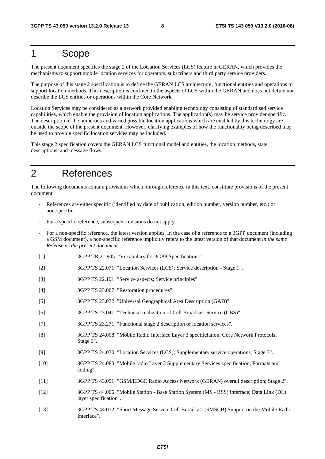# <span id="page-8-0"></span>1 Scope

The present document specifies the stage 2 of the LoCation Services (LCS) feature in GERAN, which provides the mechanisms to support mobile location services for operators, subscribers and third party service providers.

The purpose of this stage 2 specification is to define the GERAN LCS architecture, functional entities and operations to support location methods. This description is confined to the aspects of LCS within the GERAN and does not define nor describe the LCS entities or operations within the Core Network.

Location Services may be considered as a network provided enabling technology consisting of standardised service capabilities, which enable the provision of location applications. The application(s) may be service provider specific. The description of the numerous and varied possible location applications which are enabled by this technology are outside the scope of the present document. However, clarifying examples of how the functionality being described may be used to provide specific location services may be included.

This stage 2 specification covers the GERAN LCS functional model and entities, the location methods, state descriptions, and message flows.

# 2 References

The following documents contain provisions which, through reference in this text, constitute provisions of the present document.

- References are either specific (identified by date of publication, edition number, version number, etc.) or non-specific.
- For a specific reference, subsequent revisions do not apply.
- For a non-specific reference, the latest version applies. In the case of a reference to a 3GPP document (including a GSM document), a non-specific reference implicitly refers to the latest version of that document *in the same Release as the present document*.
- [1] 3GPP TR 21.905: "Vocabulary for 3GPP Specifications".
- [2] 3GPP TS 22.071: "Location Services (LCS); Service description Stage 1".
- [3] 3GPP TS 22.101: "Service aspects; Service principles".
- [4] 3GPP TS 23.007: "Restoration procedures".
- [5] 3GPP TS 23.032: "Universal Geographical Area Description (GAD)".
- [6] 3GPP TS 23.041: "Technical realization of Cell Broadcast Service (CBS)".
- [7] 3GPP TS 23.271: "Functional stage 2 description of location services".
- [8] 3GPP TS 24.008: "Mobile Radio Interface Layer 3 specificiation; Core Network Protocols; Stage 3".
- [9] 3GPP TS 24.030: "Location Services (LCS); Supplementary service operations; Stage 3".
- [10] 3GPP TS 24.080: "Mobile radio Layer 3 Supplementary Services specification; Formats and coding".
- [11] 3GPP TS 43.051: "GSM/EDGE Radio Access Network (GERAN) overall description; Stage 2".
- [12] 3GPP TS 44.006: "Mobile Station Base Station System (MS BSS) interface; Data Link (DL) layer specification".
- [13] 3GPP TS 44.012: "Short Message Service Cell Broadcast (SMSCB) Support on the Mobile Radio Interface".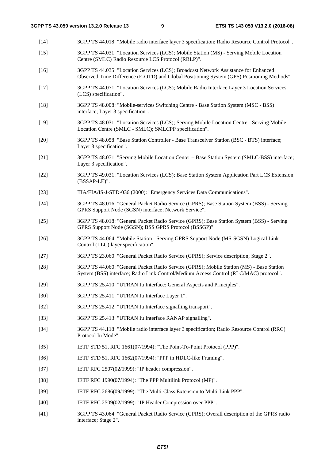[14] 3GPP TS 44.018: "Mobile radio interface layer 3 specification; Radio Resource Control Protocol". [15] 3GPP TS 44.031: "Location Services (LCS); Mobile Station (MS) - Serving Mobile Location Centre (SMLC) Radio Resource LCS Protocol (RRLP)". [16] 3GPP TS 44.035: "Location Services (LCS); Broadcast Network Assistance for Enhanced Observed Time Difference (E-OTD) and Global Positioning System (GPS) Positioning Methods". [17] 3GPP TS 44.071: "Location Services (LCS); Mobile Radio Interface Layer 3 Location Services (LCS) specification". [18] 3GPP TS 48.008: "Mobile-services Switching Centre - Base Station System (MSC - BSS) interface; Layer 3 specification". [19] 3GPP TS 48.031: "Location Services (LCS); Serving Mobile Location Centre - Serving Mobile Location Centre (SMLC - SMLC); SMLCPP specification". [20] 3GPP TS 48.058: "Base Station Controller - Base Transceiver Station (BSC - BTS) interface; Layer 3 specification". [21] 3GPP TS 48.071: "Serving Mobile Location Center – Base Station System (SMLC-BSS) interface; Layer 3 specification". [22] 3GPP TS 49.031: "Location Services (LCS); Base Station System Application Part LCS Extension (BSSAP-LE)". [23] TIA/EIA/IS-J-STD-036 (2000): "Emergency Services Data Communications". [24] 3GPP TS 48.016: "General Packet Radio Service (GPRS); Base Station System (BSS) - Serving GPRS Support Node (SGSN) interface; Network Service". [25] 3GPP TS 48.018: "General Packet Radio Service (GPRS); Base Station System (BSS) - Serving GPRS Support Node (SGSN); BSS GPRS Protocol (BSSGP)". [26] 3GPP TS 44.064: "Mobile Station - Serving GPRS Support Node (MS-SGSN) Logical Link Control (LLC) layer specification". [27] 3GPP TS 23.060: "General Packet Radio Service (GPRS); Service description; Stage 2". [28] 3GPP TS 44.060: "General Packet Radio Service (GPRS); Mobile Station (MS) - Base Station System (BSS) interface; Radio Link Control/Medium Access Control (RLC/MAC) protocol". [29] 3GPP TS 25.410: "UTRAN Iu Interface: General Aspects and Principles". [30] 3GPP TS 25.411: "UTRAN Iu Interface Layer 1". [32] 3GPP TS 25.412: "UTRAN Iu Interface signalling transport". [33] 3GPP TS 25.413: "UTRAN Iu Interface RANAP signalling". [34] 3GPP TS 44.118: "Mobile radio interface layer 3 specification; Radio Resource Control (RRC) Protocol Iu Mode". [35] IETF STD 51, RFC 1661(07/1994): "The Point-To-Point Protocol (PPP)". [36] IETF STD 51, RFC 1662(07/1994): "PPP in HDLC-like Framing". [37] IETF RFC 2507(02/1999): "IP header compression". [38] IETF RFC 1990(07/1994): "The PPP Multilink Protocol (MP)". [39] IETF RFC 2686(09/1999): "The Multi-Class Extension to Multi-Link PPP". [40] IETF RFC 2509(02/1999): "IP Header Compression over PPP". [41] 3GPP TS 43.064: "General Packet Radio Service (GPRS); Overall description of the GPRS radio interface; Stage 2".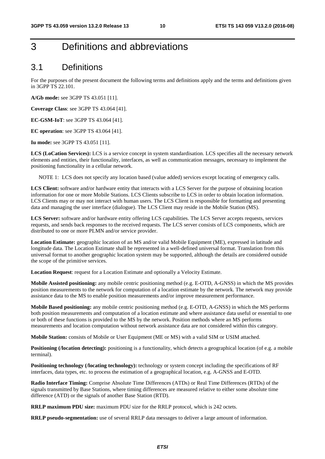# <span id="page-10-0"></span>3 Definitions and abbreviations

# 3.1 Definitions

For the purposes of the present document the following terms and definitions apply and the terms and definitions given in 3GPP TS 22.101.

**A/Gb mode:** see 3GPP TS 43.051 [11].

**Coverage Class**: see 3GPP TS 43.064 [41].

**EC-GSM-IoT**: see 3GPP TS 43.064 [41].

**EC operation**: see 3GPP TS 43.064 [41].

**Iu mode:** see 3GPP TS 43.051 [11].

**LCS (LoCation Services):** LCS is a service concept in system standardisation. LCS specifies all the necessary network elements and entities, their functionality, interfaces, as well as communication messages, necessary to implement the positioning functionality in a cellular network.

NOTE 1: LCS does not specify any location based (value added) services except locating of emergency calls.

**LCS Client:** software and/or hardware entity that interacts with a LCS Server for the purpose of obtaining location information for one or more Mobile Stations. LCS Clients subscribe to LCS in order to obtain location information. LCS Clients may or may not interact with human users. The LCS Client is responsible for formatting and presenting data and managing the user interface (dialogue). The LCS Client may reside in the Mobile Station (MS).

**LCS Server:** software and/or hardware entity offering LCS capabilities. The LCS Server accepts requests, services requests, and sends back responses to the received requests. The LCS server consists of LCS components, which are distributed to one or more PLMN and/or service provider.

**Location Estimate:** geographic location of an MS and/or valid Mobile Equipment (ME), expressed in latitude and longitude data. The Location Estimate shall be represented in a well-defined universal format. Translation from this universal format to another geographic location system may be supported, although the details are considered outside the scope of the primitive services.

**Location Request:** request for a Location Estimate and optionally a Velocity Estimate.

**Mobile Assisted positioning:** any mobile centric positioning method (e.g. E-OTD, A-GNSS) in which the MS provides position measurements to the network for computation of a location estimate by the network. The network may provide assistance data to the MS to enable position measurements and/or improve measurement performance.

**Mobile Based positioning:** any mobile centric positioning method (e.g. E-OTD, A-GNSS) in which the MS performs both position measurements and computation of a location estimate and where assistance data useful or essential to one or both of these functions is provided to the MS by the network. Position methods where an MS performs measurements and location computation without network assistance data are not considered within this category.

**Mobile Station:** consists of Mobile or User Equipment (ME or MS) with a valid SIM or USIM attached.

Positioning (*location detecting*): positioning is a functionality, which detects a geographical location (of e.g. a mobile terminal).

**Positioning technology (/locating technology):** technology or system concept including the specifications of RF interfaces, data types, etc. to process the estimation of a geographical location, e.g. A-GNSS and E-OTD.

**Radio Interface Timing:** Comprise Absolute Time Differences (ATDs) or Real Time Differences (RTDs) of the signals transmitted by Base Stations, where timing differences are measured relative to either some absolute time difference (ATD) or the signals of another Base Station (RTD).

**RRLP maximum PDU size:** maximum PDU size for the RRLP protocol, which is 242 octets.

**RRLP pseudo-segmentation:** use of several RRLP data messages to deliver a large amount of information.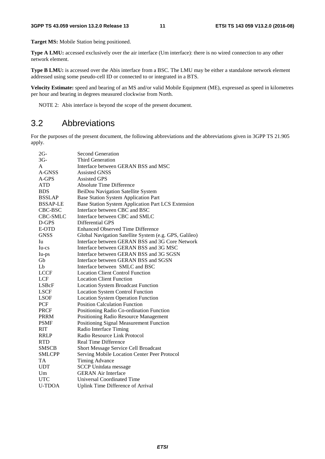<span id="page-11-0"></span>**Target MS:** Mobile Station being positioned.

**Type A LMU:** accessed exclusively over the air interface (Um interface): there is no wired connection to any other network element.

**Type B LMU:** is accessed over the Abis interface from a BSC. The LMU may be either a standalone network element addressed using some pseudo-cell ID or connected to or integrated in a BTS.

**Velocity Estimate:** speed and bearing of an MS and/or valid Mobile Equipment (ME), expressed as speed in kilometres per hour and bearing in degrees measured clockwise from North.

NOTE 2: Abis interface is beyond the scope of the present document.

# 3.2 Abbreviations

For the purposes of the present document, the following abbreviations and the abbreviations given in 3GPP TS 21.905 apply.

| $2G-$           | <b>Second Generation</b>                               |
|-----------------|--------------------------------------------------------|
| $3G -$          | <b>Third Generation</b>                                |
| A               | Interface between GERAN BSS and MSC                    |
| A-GNSS          | <b>Assisted GNSS</b>                                   |
| $A$ -GPS        | <b>Assisted GPS</b>                                    |
| <b>ATD</b>      | Absolute Time Difference                               |
| <b>BDS</b>      | BeiDou Navigation Satellite System                     |
| <b>BSSLAP</b>   | <b>Base Station System Application Part</b>            |
| <b>BSSAP-LE</b> | Base Station System Application Part LCS Extension     |
| CBC-BSC         | Interface between CBC and BSC                          |
| CBC-SMLC        | Interface between CBC and SMLC                         |
| D-GPS           | Differential GPS                                       |
| E-OTD           | <b>Enhanced Observed Time Difference</b>               |
| <b>GNSS</b>     | Global Navigation Satellite System (e.g. GPS, Galileo) |
| Iu              | Interface between GERAN BSS and 3G Core Network        |
| Iu-cs           | Interface between GERAN BSS and 3G MSC                 |
| Iu-ps           | Interface between GERAN BSS and 3G SGSN                |
| Gb              | Interface between GERAN BSS and SGSN                   |
| Lb              | Interface between SMLC and BSC                         |
| <b>LCCF</b>     | <b>Location Client Control Function</b>                |
| <b>LCF</b>      | <b>Location Client Function</b>                        |
| LSBcF           | <b>Location System Broadcast Function</b>              |
| <b>LSCF</b>     | <b>Location System Control Function</b>                |
| <b>LSOF</b>     | <b>Location System Operation Function</b>              |
| <b>PCF</b>      | <b>Position Calculation Function</b>                   |
| <b>PRCF</b>     | Positioning Radio Co-ordination Function               |
| <b>PRRM</b>     | Positioning Radio Resource Management                  |
| <b>PSMF</b>     | Positioning Signal Measurement Function                |
| <b>RIT</b>      | Radio Interface Timing                                 |
| <b>RRLP</b>     | Radio Resource Link Protocol                           |
| <b>RTD</b>      | <b>Real Time Difference</b>                            |
| <b>SMSCB</b>    | Short Message Service Cell Broadcast                   |
| <b>SMLCPP</b>   | Serving Mobile Location Center Peer Protocol           |
| <b>TA</b>       | <b>Timing Advance</b>                                  |
| <b>UDT</b>      | <b>SCCP Unitdata message</b>                           |
| Um              | <b>GERAN Air Interface</b>                             |
| <b>UTC</b>      | <b>Universal Coordinated Time</b>                      |
| <b>U-TDOA</b>   | <b>Uplink Time Difference of Arrival</b>               |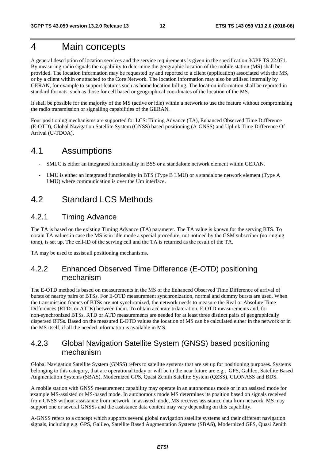# <span id="page-12-0"></span>4 Main concepts

A general description of location services and the service requirements is given in the specification 3GPP TS 22.071. By measuring radio signals the capability to determine the geographic location of the mobile station (MS) shall be provided. The location information may be requested by and reported to a client (application) associated with the MS, or by a client within or attached to the Core Network. The location information may also be utilised internally by GERAN, for example to support features such as home location billing. The location information shall be reported in standard formats, such as those for cell based or geographical coordinates of the location of the MS.

It shall be possible for the majority of the MS (active or idle) within a network to use the feature without compromising the radio transmission or signalling capabilities of the GERAN.

Four positioning mechanisms are supported for LCS: Timing Advance (TA), Enhanced Observed Time Difference (E-OTD), Global Navigation Satellite System (GNSS) based positioning (A-GNSS) and Uplink Time Difference Of Arrival (U-TDOA).

### 4.1 Assumptions

- SMLC is either an integrated functionality in BSS or a standalone network element within GERAN.
- LMU is either an integrated functionality in BTS (Type B LMU) or a standalone network element (Type A LMU) where communication is over the Um interface.

# 4.2 Standard LCS Methods

### 4.2.1 Timing Advance

The TA is based on the existing Timing Advance (TA) parameter. The TA value is known for the serving BTS. To obtain TA values in case the MS is in idle mode a special procedure, not noticed by the GSM subscriber (no ringing tone), is set up. The cell-ID of the serving cell and the TA is returned as the result of the TA.

TA may be used to assist all positioning mechanisms.

### 4.2.2 Enhanced Observed Time Difference (E-OTD) positioning mechanism

The E-OTD method is based on measurements in the MS of the Enhanced Observed Time Difference of arrival of bursts of nearby pairs of BTSs. For E-OTD measurement synchronization, normal and dummy bursts are used. When the transmission frames of BTSs are not synchronized, the network needs to measure the Real or Absolute Time Differences (RTDs or ATDs) between them. To obtain accurate trilateration, E-OTD measurements and, for non-synchronized BTSs, RTD or ATD measurements are needed for at least three distinct pairs of geographically dispersed BTSs. Based on the measured E-OTD values the location of MS can be calculated either in the network or in the MS itself, if all the needed information is available in MS.

### 4.2.3 Global Navigation Satellite System (GNSS) based positioning mechanism

Global Navigation Satellite System (GNSS) refers to satellite systems that are set up for positioning purposes. Systems belonging to this category, that are operational today or will be in the near future are e.g., GPS, Galileo, Satellite Based Augmentation Systems (SBAS), Modernized GPS, Quasi Zenith Satellite System (QZSS), GLONASS and BDS.

A mobile station with GNSS measurement capability may operate in an autonomous mode or in an assisted mode for example MS-assisted or MS-based mode. In autonomous mode MS determines its position based on signals received from GNSS without assistance from network. In assisted mode, MS receives assistance data from network. MS may support one or several GNSSs and the assistance data content may vary depending on this capability.

A-GNSS refers to a concept which supports several global navigation satellite systems and their different navigation signals, including e.g. GPS, Galileo, Satellite Based Augmentation Systems (SBAS), Modernized GPS, Quasi Zenith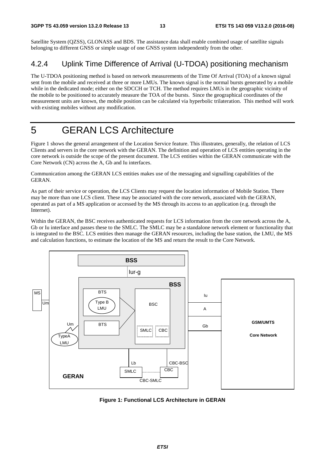<span id="page-13-0"></span>Satellite System (QZSS), GLONASS and BDS. The assistance data shall enable combined usage of satellite signals belonging to different GNSS or simple usage of one GNSS system independently from the other.

# 4.2.4 Uplink Time Difference of Arrival (U-TDOA) positioning mechanism

The U-TDOA positioning method is based on network measurements of the Time Of Arrival (TOA) of a known signal sent from the mobile and received at three or more LMUs. The known signal is the normal bursts generated by a mobile while in the dedicated mode; either on the SDCCH or TCH. The method requires LMUs in the geographic vicinity of the mobile to be positioned to accurately measure the TOA of the bursts. Since the geographical coordinates of the measurement units are known, the mobile position can be calculated via hyperbolic trilateration. This method will work with existing mobiles without any modification.

# 5 GERAN LCS Architecture

Figure 1 shows the general arrangement of the Location Service feature. This illustrates, generally, the relation of LCS Clients and servers in the core network with the GERAN. The definition and operation of LCS entities operating in the core network is outside the scope of the present document. The LCS entities within the GERAN communicate with the Core Network (CN) across the A, Gb and Iu interfaces.

Communication among the GERAN LCS entities makes use of the messaging and signalling capabilities of the GERAN.

As part of their service or operation, the LCS Clients may request the location information of Mobile Station. There may be more than one LCS client. These may be associated with the core network, associated with the GERAN, operated as part of a MS application or accessed by the MS through its access to an application (e.g. through the Internet).

Within the GERAN, the BSC receives authenticated requests for LCS information from the core network across the A, Gb or Iu interface and passes these to the SMLC. The SMLC may be a standalone network element or functionality that is integrated to the BSC. LCS entities then manage the GERAN resources, including the base station, the LMU, the MS and calculation functions, to estimate the location of the MS and return the result to the Core Network.



**Figure 1: Functional LCS Architecture in GERAN**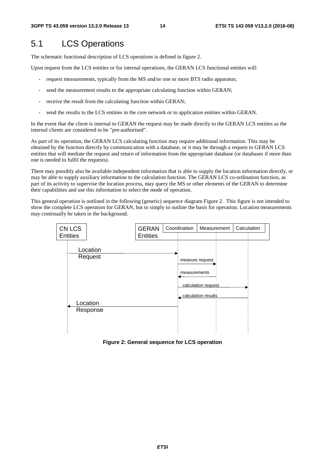# <span id="page-14-0"></span>5.1 LCS Operations

The schematic functional description of LCS operations is defined in figure 2.

Upon request from the LCS entities or for internal operations, the GERAN LCS functional entities will:

- request measurements, typically from the MS and/or one or more BTS radio apparatus;
- send the measurement results to the appropriate calculating function within GERAN;
- receive the result from the calculating function within GERAN;
- send the results to the LCS entities in the core network or to application entities within GERAN.

In the event that the client is internal to GERAN the request may be made directly to the GERAN LCS entities as the internal clients are considered to be "pre-authorised".

As part of its operation, the GERAN LCS calculating function may require additional information. This may be obtained by the function directly by communication with a database, or it may be through a request to GERAN LCS entities that will mediate the request and return of information from the appropriate database (or databases if more than one is needed to fulfil the requests).

There may possibly also be available independent information that is able to supply the location information directly, or may be able to supply auxiliary information to the calculation function. The GERAN LCS co-ordination function, as part of its activity to supervise the location process, may query the MS or other elements of the GERAN to determine their capabilities and use this information to select the mode of operation.

This general operation is outlined in the following (generic) sequence diagram Figure 2. This figure is not intended to show the complete LCS operation for GERAN, but to simply to outline the basis for operation. Location measurements may continually be taken in the background.



**Figure 2: General sequence for LCS operation**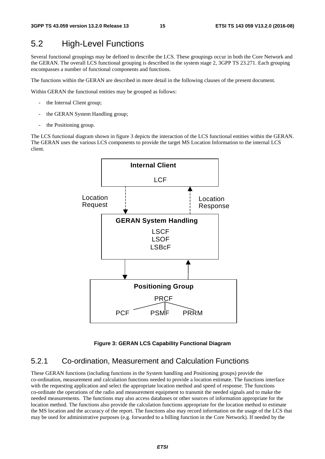# <span id="page-15-0"></span>5.2 High-Level Functions

Several functional groupings may be defined to describe the LCS. These groupings occur in both the Core Network and the GERAN. The overall LCS functional grouping is described in the system stage 2, 3GPP TS 23.271. Each grouping encompasses a number of functional components and functions.

The functions within the GERAN are described in more detail in the following clauses of the present document.

Within GERAN the functional entities may be grouped as follows:

- the Internal Client group;
- the GERAN System Handling group;
- the Positioning group.

The LCS functional diagram shown in figure 3 depicts the interaction of the LCS functional entities within the GERAN. The GERAN uses the various LCS components to provide the target MS Location Information to the internal LCS client.



#### **Figure 3: GERAN LCS Capability Functional Diagram**

### 5.2.1 Co-ordination, Measurement and Calculation Functions

These GERAN functions (including functions in the System handling and Positioning groups) provide the co-ordination, measurement and calculation functions needed to provide a location estimate. The functions interface with the requesting application and select the appropriate location method and speed of response. The functions co-ordinate the operations of the radio and measurement equipment to transmit the needed signals and to make the needed measurements. The functions may also access databases or other sources of information appropriate for the location method. The functions also provide the calculation functions appropriate for the location method to estimate the MS location and the accuracy of the report. The functions also may record information on the usage of the LCS that may be used for administrative purposes (e.g. forwarded to a billing function in the Core Network). If needed by the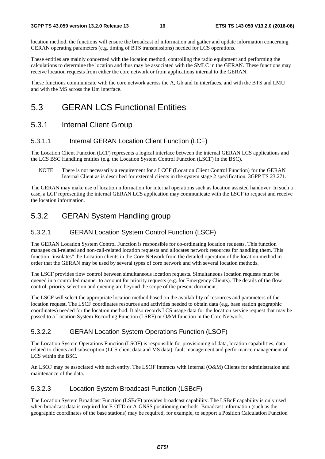<span id="page-16-0"></span>location method, the functions will ensure the broadcast of information and gather and update information concerning GERAN operating parameters (e.g. timing of BTS transmissions) needed for LCS operations.

These entities are mainly concerned with the location method, controlling the radio equipment and performing the calculations to determine the location and thus may be associated with the SMLC in the GERAN. These functions may receive location requests from either the core network or from applications internal to the GERAN.

These functions communicate with the core network across the A, Gb and Iu interfaces, and with the BTS and LMU and with the MS across the Um interface.

# 5.3 GERAN LCS Functional Entities

### 5.3.1 Internal Client Group

#### 5.3.1.1 Internal GERAN Location Client Function (LCF)

The Location Client Function (LCF) represents a logical interface between the internal GERAN LCS applications and the LCS BSC Handling entities (e.g. the Location System Control Function (LSCF) in the BSC).

NOTE: There is not necessarily a requirement for a LCCF (Location Client Control Function) for the GERAN Internal Client as is described for external clients in the system stage 2 specification, 3GPP TS 23.271.

The GERAN may make use of location information for internal operations such as location assisted handover. In such a case, a LCF representing the internal GERAN LCS application may communicate with the LSCF to request and receive the location information.

### 5.3.2 GERAN System Handling group

#### 5.3.2.1 GERAN Location System Control Function (LSCF)

The GERAN Location System Control Function is responsible for co-ordinating location requests. This function manages call-related and non-call-related location requests and allocates network resources for handling them. This function "insulates" the Location clients in the Core Network from the detailed operation of the location method in order that the GERAN may be used by several types of core network and with several location methods.

The LSCF provides flow control between simultaneous location requests. Simultaneous location requests must be queued in a controlled manner to account for priority requests (e.g. for Emergency Clients). The details of the flow control, priority selection and queuing are beyond the scope of the present document.

The LSCF will select the appropriate location method based on the availability of resources and parameters of the location request. The LSCF coordinates resources and activities needed to obtain data (e.g. base station geographic coordinates) needed for the location method. It also records LCS usage data for the location service request that may be passed to a Location System Recording Function (LSRF) or O&M function in the Core Network.

#### 5.3.2.2 GERAN Location System Operations Function (LSOF)

The Location System Operations Function (LSOF) is responsible for provisioning of data, location capabilities, data related to clients and subscription (LCS client data and MS data), fault management and performance management of LCS within the BSC.

An LSOF may be associated with each entity. The LSOF interacts with Internal (O&M) Clients for administration and maintenance of the data.

#### 5.3.2.3 Location System Broadcast Function (LSBcF)

The Location System Broadcast Function (LSBcF) provides broadcast capability. The LSBcF capability is only used when broadcast data is required for E-OTD or A-GNSS positioning methods. Broadcast information (such as the geographic coordinates of the base stations) may be required, for example, to support a Position Calculation Function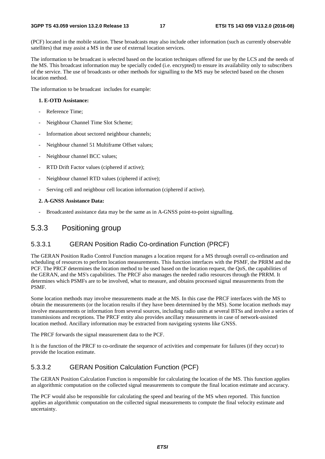<span id="page-17-0"></span>(PCF) located in the mobile station. These broadcasts may also include other information (such as currently observable satellites) that may assist a MS in the use of external location services.

The information to be broadcast is selected based on the location techniques offered for use by the LCS and the needs of the MS. This broadcast information may be specially coded (i.e. encrypted) to ensure its availability only to subscribers of the service. The use of broadcasts or other methods for signalling to the MS may be selected based on the chosen location method.

The information to be broadcast includes for example:

#### **1. E-OTD Assistance:**

- Reference Time:
- Neighbour Channel Time Slot Scheme;
- Information about sectored neighbour channels;
- Neighbour channel 51 Multiframe Offset values;
- Neighbour channel BCC values;
- RTD Drift Factor values (ciphered if active);
- Neighbour channel RTD values (ciphered if active);
- Serving cell and neighbour cell location information (ciphered if active).

#### **2. A-GNSS Assistance Data:**

Broadcasted assistance data may be the same as in A-GNSS point-to-point signalling.

#### 5.3.3 Positioning group

#### 5.3.3.1 GERAN Position Radio Co-ordination Function (PRCF)

The GERAN Position Radio Control Function manages a location request for a MS through overall co-ordination and scheduling of resources to perform location measurements. This function interfaces with the PSMF, the PRRM and the PCF. The PRCF determines the location method to be used based on the location request, the QoS, the capabilities of the GERAN, and the MS's capabilities. The PRCF also manages the needed radio resources through the PRRM. It determines which PSMFs are to be involved, what to measure, and obtains processed signal measurements from the PSMF.

Some location methods may involve measurements made at the MS. In this case the PRCF interfaces with the MS to obtain the measurements (or the location results if they have been determined by the MS). Some location methods may involve measurements or information from several sources, including radio units at several BTSs and involve a series of transmissions and receptions. The PRCF entity also provides ancillary measurements in case of network-assisted location method. Ancillary information may be extracted from navigating systems like GNSS.

The PRCF forwards the signal measurement data to the PCF.

It is the function of the PRCF to co-ordinate the sequence of activities and compensate for failures (if they occur) to provide the location estimate.

#### 5.3.3.2 GERAN Position Calculation Function (PCF)

The GERAN Position Calculation Function is responsible for calculating the location of the MS. This function applies an algorithmic computation on the collected signal measurements to compute the final location estimate and accuracy.

The PCF would also be responsible for calculating the speed and bearing of the MS when reported. This function applies an algorithmic computation on the collected signal measurements to compute the final velocity estimate and uncertainty.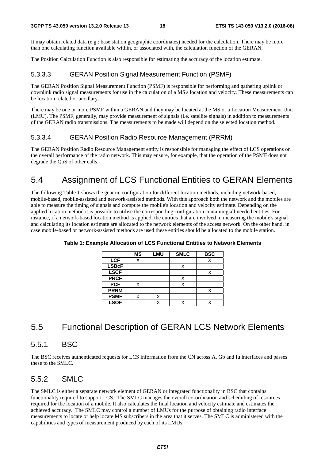<span id="page-18-0"></span>It may obtain related data (e.g.: base station geographic coordinates) needed for the calculation. There may be more than one calculating function available within, or associated with, the calculation function of the GERAN.

The Position Calculation Function is also responsible for estimating the accuracy of the location estimate.

### 5.3.3.3 GERAN Position Signal Measurement Function (PSMF)

The GERAN Position Signal Measurement Function (PSMF) is responsible for performing and gathering uplink or downlink radio signal measurements for use in the calculation of a MS's location and velocity. These measurements can be location related or ancillary.

There may be one or more PSMF within a GERAN and they may be located at the MS or a Location Measurement Unit (LMU). The PSMF, generally, may provide measurement of signals (i.e. satellite signals) in addition to measurements of the GERAN radio transmissions. The measurements to be made will depend on the selected location method.

### 5.3.3.4 GERAN Position Radio Resource Management (PRRM)

The GERAN Position Radio Resource Management entity is responsible for managing the effect of LCS operations on the overall performance of the radio network. This may ensure, for example, that the operation of the PSMF does not degrade the QoS of other calls.

# 5.4 Assignment of LCS Functional Entities to GERAN Elements

The following Table 1 shows the generic configuration for different location methods, including network-based, mobile-based, mobile-assisted and network-assisted methods. With this approach both the network and the mobiles are able to measure the timing of signals and compute the mobile's location and velocity estimate. Depending on the applied location method it is possible to utilise the corresponding configuration containing all needed entities. For instance, if a network-based location method is applied, the entities that are involved in measuring the mobile's signal and calculating its location estimate are allocated to the network elements of the access network. On the other hand, in case mobile-based or network-assisted methods are used these entities should be allocated to the mobile station.

|              | <b>MS</b> | <b>LMU</b> | <b>SMLC</b> | <b>BSC</b> |
|--------------|-----------|------------|-------------|------------|
| <b>LCF</b>   | Χ         |            |             |            |
| <b>LSBcF</b> |           |            |             |            |
| <b>LSCF</b>  |           |            |             |            |
| <b>PRCF</b>  |           |            | X           |            |
| <b>PCF</b>   |           |            |             |            |
| <b>PRRM</b>  |           |            |             |            |
| <b>PSMF</b>  |           |            |             |            |
| <b>LSOF</b>  |           |            |             |            |

**Table 1: Example Allocation of LCS Functional Entities to Network Elements** 

# 5.5 Functional Description of GERAN LCS Network Elements

# 5.5.1 BSC

The BSC receives authenticated requests for LCS information from the CN across A, Gb and Iu interfaces and passes these to the SMLC.

# 5.5.2 SMLC

The SMLC is either a separate network element of GERAN or integrated functionality in BSC that contains functionality required to support LCS. The SMLC manages the overall co-ordination and scheduling of resources required for the location of a mobile. It also calculates the final location and velocity estimate and estimates the achieved accuracy. The SMLC may control a number of LMUs for the purpose of obtaining radio interface measurements to locate or help locate MS subscribers in the area that it serves. The SMLC is administered with the capabilities and types of measurement produced by each of its LMUs.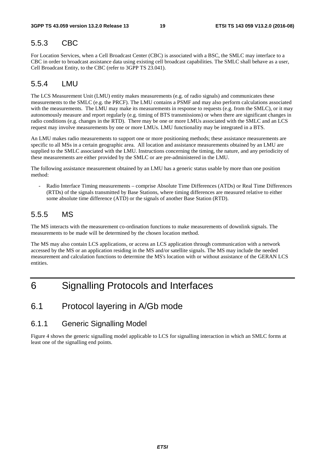### <span id="page-19-0"></span>5.5.3 CBC

For Location Services, when a Cell Broadcast Center (CBC) is associated with a BSC, the SMLC may interface to a CBC in order to broadcast assistance data using existing cell broadcast capabilities. The SMLC shall behave as a user, Cell Broadcast Entity, to the CBC (refer to 3GPP TS 23.041).

### 5.5.4 LMU

The LCS Measurement Unit (LMU) entity makes measurements (e.g. of radio signals) and communicates these measurements to the SMLC (e.g. the PRCF). The LMU contains a PSMF and may also perform calculations associated with the measurements. The LMU may make its measurements in response to requests (e.g. from the SMLC), or it may autonomously measure and report regularly (e.g. timing of BTS transmissions) or when there are significant changes in radio conditions (e.g. changes in the RTD). There may be one or more LMUs associated with the SMLC and an LCS request may involve measurements by one or more LMUs. LMU functionality may be integrated in a BTS.

An LMU makes radio measurements to support one or more positioning methods; these assistance measurements are specific to all MSs in a certain geographic area. All location and assistance measurements obtained by an LMU are supplied to the SMLC associated with the LMU. Instructions concerning the timing, the nature, and any periodicity of these measurements are either provided by the SMLC or are pre-administered in the LMU.

The following assistance measurement obtained by an LMU has a generic status usable by more than one position method:

- Radio Interface Timing measurements – comprise Absolute Time Differences (ATDs) or Real Time Differences (RTDs) of the signals transmitted by Base Stations, where timing differences are measured relative to either some absolute time difference (ATD) or the signals of another Base Station (RTD).

### 5.5.5 MS

The MS interacts with the measurement co-ordination functions to make measurements of downlink signals. The measurements to be made will be determined by the chosen location method.

The MS may also contain LCS applications, or access an LCS application through communication with a network accessed by the MS or an application residing in the MS and/or satellite signals. The MS may include the needed measurement and calculation functions to determine the MS's location with or without assistance of the GERAN LCS entities.

# 6 Signalling Protocols and Interfaces

# 6.1 Protocol layering in A/Gb mode

### 6.1.1 Generic Signalling Model

Figure 4 shows the generic signalling model applicable to LCS for signalling interaction in which an SMLC forms at least one of the signalling end points.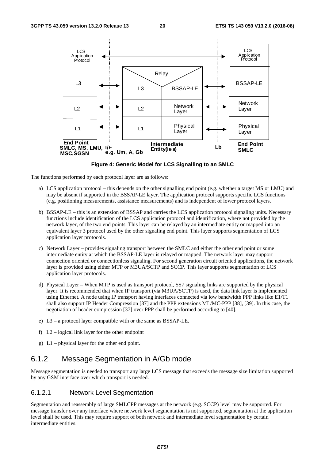<span id="page-20-0"></span>

**Figure 4: Generic Model for LCS Signalling to an SMLC** 

The functions performed by each protocol layer are as follows:

- a) LCS application protocol this depends on the other signalling end point (e.g. whether a target MS or LMU) and may be absent if supported in the BSSAP-LE layer. The application protocol supports specific LCS functions (e.g. positioning measurements, assistance measurements) and is independent of lower protocol layers.
- b) BSSAP-LE this is an extension of BSSAP and carries the LCS application protocol signaling units. Necessary functions include identification of the LCS application protocol and identification, where not provided by the network layer, of the two end points. This layer can be relayed by an intermediate entity or mapped into an equivalent layer 3 protocol used by the other signaling end point. This layer supports segmentation of LCS application layer protocols.
- c) Network Layer provides signaling transport between the SMLC and either the other end point or some intermediate entity at which the BSSAP-LE layer is relayed or mapped. The network layer may support connection oriented or connectionless signaling. For second generation circuit oriented applications, the network layer is provided using either MTP or M3UA/SCTP and SCCP. This layer supports segmentation of LCS application layer protocols.
- d) Physical Layer When MTP is used as transport protocol, SS7 signaling links are supported by the physical layer. It is recommended that when IP transport (via M3UA/SCTP) is used, the data link layer is implemented using Ethernet. A node using IP transport having interfaces connected via low bandwidth PPP links like E1/T1 shall also support IP Header Compression [37] and the PPP extensions ML/MC-PPP [38], [39]. In this case, the negotiation of header compression [37] over PPP shall be performed according to [40].
- e) L3 a protocol layer compatible with or the same as BSSAP-LE.
- f)  $L2$  logical link layer for the other endpoint
- g) L1 physical layer for the other end point.

### 6.1.2 Message Segmentation in A/Gb mode

Message segmentation is needed to transport any large LCS message that exceeds the message size limitation supported by any GSM interface over which transport is needed.

#### 6.1.2.1 Network Level Segmentation

Segmentation and reassembly of large SMLCPP messages at the network (e.g. SCCP) level may be supported. For message transfer over any interface where network level segmentation is not supported, segmentation at the application level shall be used. This may require support of both network and intermediate level segmentation by certain intermediate entities.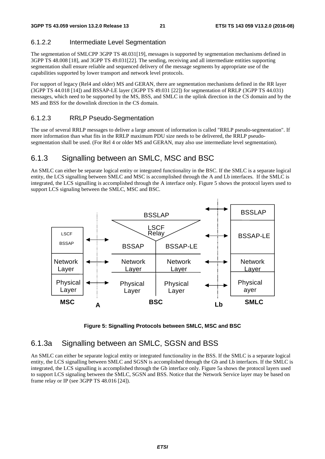### <span id="page-21-0"></span>6.1.2.2 Intermediate Level Segmentation

The segmentation of SMLCPP 3GPP TS 48.031[19], messages is supported by segmentation mechanisms defined in 3GPP TS 48.008 [18], and 3GPP TS 49.031[22]. The sending, receiving and all intermediate entities supporting segmentation shall ensure reliable and sequenced delivery of the message segments by appropriate use of the capabilities supported by lower transport and network level protocols.

For support of legacy (Rel4 and older) MS and GERAN, there are segmentation mechanisms defined in the RR layer (3GPP TS 44.018 [14]) and BSSAP-LE layer (3GPP TS 49.031 [22]) for segmentation of RRLP (3GPP TS 44.031) messages, which need to be supported by the MS, BSS, and SMLC in the uplink direction in the CS domain and by the MS and BSS for the downlink direction in the CS domain.

#### 6.1.2.3 RRLP Pseudo-Segmentation

The use of several RRLP messages to deliver a large amount of information is called "RRLP pseudo-segmentation". If more information than what fits in the RRLP maximum PDU size needs to be delivered, the RRLP pseudosegmentation shall be used. (For Rel 4 or older MS and GERAN, may also use intermediate level segmentation).

# 6.1.3 Signalling between an SMLC, MSC and BSC

An SMLC can either be separate logical entity or integrated functionality in the BSC. If the SMLC is a separate logical entity, the LCS signalling between SMLC and MSC is accomplished through the A and Lb interfaces. If the SMLC is integrated, the LCS signalling is accomplished through the A interface only. Figure 5 shows the protocol layers used to support LCS signaling between the SMLC, MSC and BSC.



**Figure 5: Signalling Protocols between SMLC, MSC and BSC** 

# 6.1.3a Signalling between an SMLC, SGSN and BSS

An SMLC can either be separate logical entity or integrated functionality in the BSS. If the SMLC is a separate logical entity, the LCS signalling between SMLC and SGSN is accomplished through the Gb and Lb interfaces. If the SMLC is integrated, the LCS signalling is accomplished through the Gb interface only. Figure 5a shows the protocol layers used to support LCS signaling between the SMLC, SGSN and BSS. Notice that the Network Service layer may be based on frame relay or IP (see 3GPP TS 48.016 [24]).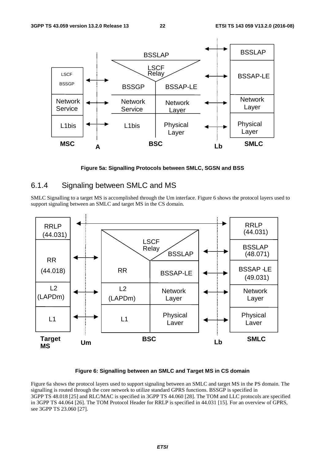<span id="page-22-0"></span>

**Figure 5a: Signalling Protocols between SMLC, SGSN and BSS** 

### 6.1.4 Signaling between SMLC and MS

SMLC Signalling to a target MS is accomplished through the Um interface. Figure 6 shows the protocol layers used to support signaling between an SMLC and target MS in the CS domain.



#### **Figure 6: Signalling between an SMLC and Target MS in CS domain**

Figure 6a shows the protocol layers used to support signaling between an SMLC and target MS in the PS domain. The signalling is routed through the core network to utilize standard GPRS functions. BSSGP is specified in 3GPP TS 48.018 [25] and RLC/MAC is specified in 3GPP TS 44.060 [28]. The TOM and LLC protocols are specified in 3GPP TS 44.064 [26]. The TOM Protocol Header for RRLP is specified in 44.031 [15]. For an overview of GPRS, see 3GPP TS 23.060 [27].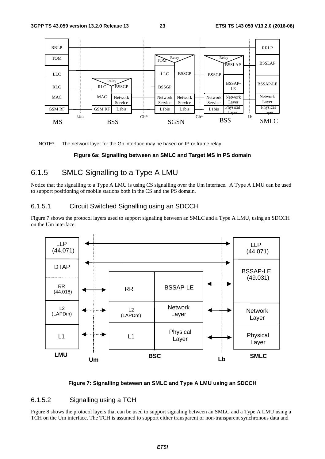<span id="page-23-0"></span>

NOTE\*: The network layer for the Gb interface may be based on IP or frame relay.

#### **Figure 6a: Signalling between an SMLC and Target MS in PS domain**

### 6.1.5 SMLC Signalling to a Type A LMU

Notice that the signalling to a Type A LMU is using CS signalling over the Um interface. A Type A LMU can be used to support positioning of mobile stations both in the CS and the PS domain.

#### 6.1.5.1 Circuit Switched Signalling using an SDCCH

Figure 7 shows the protocol layers used to support signaling between an SMLC and a Type A LMU, using an SDCCH on the Um interface.



#### **Figure 7: Signalling between an SMLC and Type A LMU using an SDCCH**

#### 6.1.5.2 Signalling using a TCH

Figure 8 shows the protocol layers that can be used to support signaling between an SMLC and a Type A LMU using a TCH on the Um interface. The TCH is assumed to support either transparent or non-transparent synchronous data and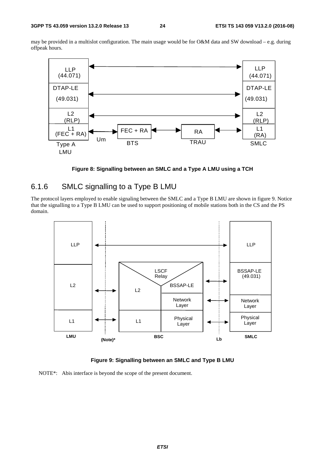<span id="page-24-0"></span>may be provided in a multislot configuration. The main usage would be for O&M data and SW download – e.g. during offpeak hours.



**Figure 8: Signalling between an SMLC and a Type A LMU using a TCH** 

### 6.1.6 SMLC signalling to a Type B LMU

The protocol layers employed to enable signaling between the SMLC and a Type B LMU are shown in figure 9. Notice that the signalling to a Type B LMU can be used to support positioning of mobile stations both in the CS and the PS domain.



**Figure 9: Signalling between an SMLC and Type B LMU** 

NOTE\*: Abis interface is beyond the scope of the present document.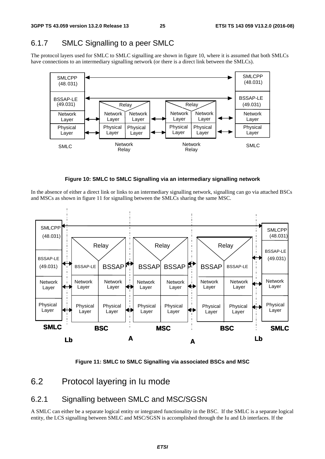# <span id="page-25-0"></span>6.1.7 SMLC Signalling to a peer SMLC

The protocol layers used for SMLC to SMLC signalling are shown in figure 10, where it is assumed that both SMLCs have connections to an intermediary signalling network (or there is a direct link between the SMLCs).





In the absence of either a direct link or links to an intermediary signalling network, signalling can go via attached BSCs and MSCs as shown in figure 11 for signalling between the SMLCs sharing the same MSC.



**Figure 11: SMLC to SMLC Signalling via associated BSCs and MSC** 

# 6.2 Protocol layering in Iu mode

# 6.2.1 Signalling between SMLC and MSC/SGSN

A SMLC can either be a separate logical entity or integrated functionality in the BSC. If the SMLC is a separate logical entity, the LCS signalling between SMLC and MSC/SGSN is accomplished through the Iu and Lb interfaces. If the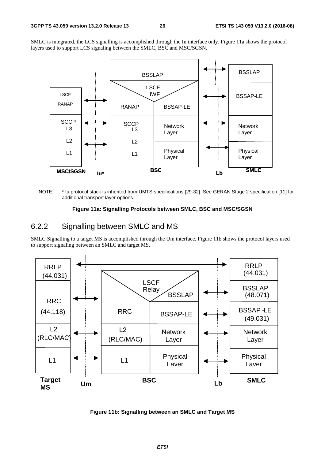<span id="page-26-0"></span>SMLC is integrated, the LCS signalling is accomplished through the Iu interface only. Figure 11a shows the protocol layers used to support LCS signaling between the SMLC, BSC and MSC/SGSN.



NOTE: \* Iu protocol stack is inherited from UMTS specifications [29-32]. See GERAN Stage 2 specification [11] for additional transport layer options.

#### **Figure 11a: Signalling Protocols between SMLC, BSC and MSC/SGSN**

### 6.2.2 Signalling between SMLC and MS

SMLC Signalling to a target MS is accomplished through the Um interface. Figure 11b shows the protocol layers used to support signaling between an SMLC and target MS.



**Figure 11b: Signalling between an SMLC and Target MS**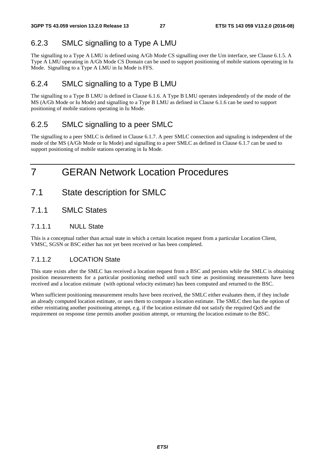# <span id="page-27-0"></span>6.2.3 SMLC signalling to a Type A LMU

The signalling to a Type A LMU is defined using A/Gb Mode CS signalling over the Um interface, see Clause 6.1.5. A Type A LMU operating in A/Gb Mode CS Domain can be used to support positioning of mobile stations operating in Iu Mode. Signalling to a Type A LMU in Iu Mode is FFS.

# 6.2.4 SMLC signalling to a Type B LMU

The signalling to a Type B LMU is defined in Clause 6.1.6. A Type B LMU operates independently of the mode of the MS (A/Gb Mode or Iu Mode) and signalling to a Type B LMU as defined in Clause 6.1.6 can be used to support positioning of mobile stations operating in Iu Mode.

# 6.2.5 SMLC signalling to a peer SMLC

The signalling to a peer SMLC is defined in Clause 6.1.7. A peer SMLC connection and signaling is independent of the mode of the MS (A/Gb Mode or Iu Mode) and signalling to a peer SMLC as defined in Clause 6.1.7 can be used to support positioning of mobile stations operating in Iu Mode.

# 7 GERAN Network Location Procedures

- 7.1 State description for SMLC
- 7.1.1 SMLC States

### 7.1.1.1 NULL State

This is a conceptual rather than actual state in which a certain location request from a particular Location Client, VMSC, SGSN or BSC either has not yet been received or has been completed.

### 7.1.1.2 LOCATION State

This state exists after the SMLC has received a location request from a BSC and persists while the SMLC is obtaining position measurements for a particular positioning method until such time as positioning measurements have been received and a location estimate (with optional velocity estimate) has been computed and returned to the BSC.

When sufficient positioning measurement results have been received, the SMLC either evaluates them, if they include an already computed location estimate, or uses them to compute a location estimate. The SMLC then has the option of either reinitiating another positioning attempt, e.g. if the location estimate did not satisfy the required QoS and the requirement on response time permits another position attempt, or returning the location estimate to the BSC.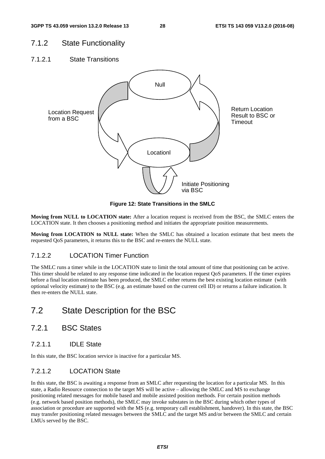### <span id="page-28-0"></span>7.1.2 State Functionality

7.1.2.1 State Transitions



**Figure 12: State Transitions in the SMLC** 

**Moving from NULL to LOCATION state:** After a location request is received from the BSC, the SMLC enters the LOCATION state. It then chooses a positioning method and initiates the appropriate position measurements.

**Moving from LOCATION to NULL state:** When the SMLC has obtained a location estimate that best meets the requested QoS parameters, it returns this to the BSC and re-enters the NULL state.

### 7.1.2.2 LOCATION Timer Function

The SMLC runs a timer while in the LOCATION state to limit the total amount of time that positioning can be active. This timer should be related to any response time indicated in the location request QoS parameters. If the timer expires before a final location estimate has been produced, the SMLC either returns the best existing location estimate (with optional velocity estimate) to the BSC (e.g. an estimate based on the current cell ID) or returns a failure indication. It then re-enters the NULL state.

# 7.2 State Description for the BSC

- 7.2.1 BSC States
- 7.2.1.1 IDLE State

In this state, the BSC location service is inactive for a particular MS.

### 7.2.1.2 LOCATION State

In this state, the BSC is awaiting a response from an SMLC after requesting the location for a particular MS. In this state, a Radio Resource connection to the target MS will be active – allowing the SMLC and MS to exchange positioning related messages for mobile based and mobile assisted position methods. For certain position methods (e.g. network based position methods), the SMLC may invoke substates in the BSC during which other types of association or procedure are supported with the MS (e.g. temporary call establishment, handover). In this state, the BSC may transfer positioning related messages between the SMLC and the target MS and/or between the SMLC and certain LMUs served by the BSC.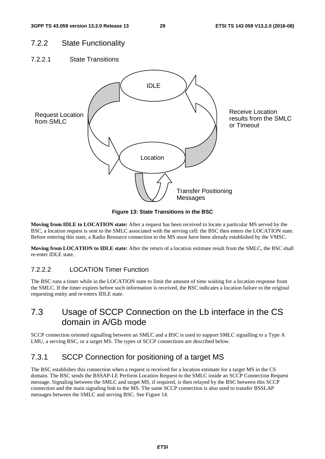# <span id="page-29-0"></span>7.2.2 State Functionality

7.2.2.1 State Transitions



**Figure 13: State Transitions in the BSC** 

**Moving from IDLE to LOCATION state:** After a request has been received to locate a particular MS served by the BSC, a location request is sent to the SMLC associated with the serving cell: the BSC then enters the LOCATION state. Before entering this state, a Radio Resource connection to the MS must have been already established by the VMSC.

**Moving from LOCATION to IDLE state:** After the return of a location estimate result from the SMLC, the BSC shall re-enter IDLE state.

### 7.2.2.2 LOCATION Timer Function

The BSC runs a timer while in the LOCATION state to limit the amount of time waiting for a location response from the SMLC. If the timer expires before such information is received, the BSC indicates a location failure to the original requesting entity and re-enters IDLE state.

# 7.3 Usage of SCCP Connection on the Lb interface in the CS domain in A/Gb mode

SCCP connection oriented signalling between an SMLC and a BSC is used to support SMLC signalling to a Type A LMU, a serving BSC, or a target MS. The types of SCCP connections are described below.

# 7.3.1 SCCP Connection for positioning of a target MS

The BSC establishes this connection when a request is received for a location estimate for a target MS in the CS domain. The BSC sends the BSSAP-LE Perform Location Request to the SMLC inside an SCCP Connection Request message. Signaling between the SMLC and target MS, if required, is then relayed by the BSC between this SCCP connection and the main signaling link to the MS. The same SCCP connection is also used to transfer BSSLAP messages between the SMLC and serving BSC. See Figure 14.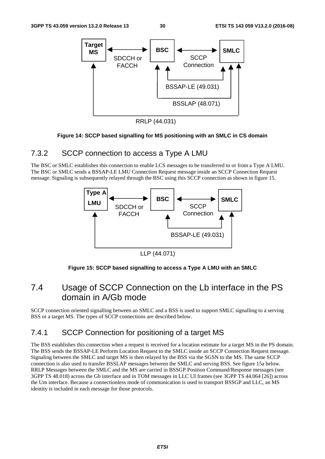<span id="page-30-0"></span>

RRLP (44.031)

#### **Figure 14: SCCP based signalling for MS positioning with an SMLC in CS domain**

### 7.3.2 SCCP connection to access a Type A LMU

The BSC or SMLC establishes this connection to enable LCS messages to be transferred to or from a Type A LMU. The BSC or SMLC sends a BSSAP-LE LMU Connection Request message inside an SCCP Connection Request message. Signaling is subsequently relayed through the BSC using this SCCP connection as shown in figure 15.



LLP (44.071)

#### **Figure 15: SCCP based signalling to access a Type A LMU with an SMLC**

# 7.4 Usage of SCCP Connection on the Lb interface in the PS domain in A/Gb mode

SCCP connection oriented signalling between an SMLC and a BSS is used to support SMLC signalling to a serving BSS or a target MS. The types of SCCP connections are described below.

# 7.4.1 SCCP Connection for positioning of a target MS

The BSS establishes this connection when a request is received for a location estimate for a target MS in the PS domain. The BSS sends the BSSAP-LE Perform Location Request to the SMLC inside an SCCP Connection Request message. Signaling between the SMLC and target MS is then relayed by the BSS via the SGSN to the MS. The same SCCP connection is also used to transfer BSSLAP messages between the SMLC and serving BSS. See figure 15a below. RRLP Messages between the SMLC and the MS are carried in BSSGP Position Command/Response messages (see 3GPP TS 48.018) across the Gb interface and in TOM messages in LLC UI frames (see 3GPP TS 44.064 [26]) across the Um interface. Because a connectionless mode of communication is used to transport BSSGP and LLC, an MS identity is included in each message for those protocols.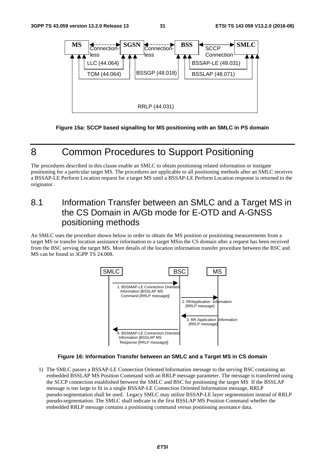<span id="page-31-0"></span>

**Figure 15a: SCCP based signalling for MS positioning with an SMLC in PS domain** 

# 8 Common Procedures to Support Positioning

The procedures described in this clause enable an SMLC to obtain positioning related information or instigate positioning for a particular target MS. The procedures are applicable to all positioning methods after an SMLC receives a BSSAP-LE Perform Location request for a target MS until a BSSAP-LE Perform Location response is returned to the originator.

# 8.1 Information Transfer between an SMLC and a Target MS in the CS Domain in A/Gb mode for E-OTD and A-GNSS positioning methods

An SMLC uses the procedure shown below in order to obtain the MS position or positioning measurements from a target MS or transfer location assistance information to a target MSin the CS domain after a request has been received from the BSC serving the target MS. More details of the location information transfer procedure between the BSC and MS can be found in 3GPP TS 24.008.



#### **Figure 16: Information Transfer between an SMLC and a Target MS in CS domain**

1) The SMLC passes a BSSAP-LE Connection Oriented Information message to the serving BSC containing an embedded BSSLAP MS Position Command with an RRLP message parameter. The message is transferred using the SCCP connection established between the SMLC and BSC for positioning the target MS If the BSSLAP message is too large to fit in a single BSSAP-LE Connection Oriented Information message, RRLP pseudo-segmentation shall be used. Legacy SMLC may utilize BSSAP-LE layer segmentation instead of RRLP pseudo-segmentation. The SMLC shall indicate in the first BSSLAP MS Position Command whether the embedded RRLP message contains a positioning command versus positioning assistance data.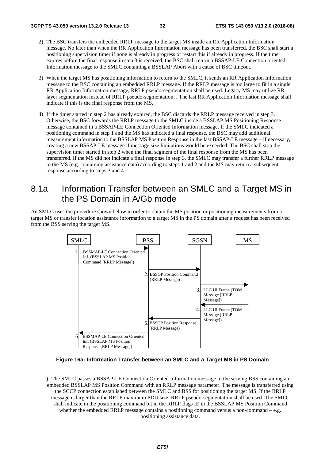- <span id="page-32-0"></span>2) The BSC transfers the embedded RRLP message to the target MS inside an RR Application Information message. No later than when the RR Application Information message has been transferred, the BSC shall start a positioning supervision timer if none is already in progress or restart this if already in progress. If the timer expires before the final response in step 3 is received, the BSC shall return a BSSAP-LE Connection oriented Information message to the SMLC containing a BSSLAP Abort with a cause of BSC timeout.
- 3) When the target MS has positioning information to return to the SMLC, it sends an RR Application Information message to the BSC containing an embedded RRLP message. If the RRLP message is too large to fit in a single RR Application Information message, RRLP pseudo-segmentation shall be used. Legacy MS may utilize RR layer segmentation instead of RRLP pseudo-segmentation. . The last RR Application Information message shall indicate if this is the final response from the MS.
- 4) If the timer started in step 2 has already expired, the BSC discards the RRLP message received in step 3. Otherwise, the BSC forwards the RRLP message to the SMLC inside a BSSLAP MS Positioning Response message contained in a BSSAP-LE Connection Oriented Information message. If the SMLC indicated a positioning command in step 1 and the MS has indicated a final response, the BSC may add additional measurement information to the BSSLAP MS Position Response in the last BSSAP-LE message – if necessary, creating a new BSSAP-LE message if message size limitations would be exceeded. The BSC shall stop the supervision timer started in step 2 when the final segment of the final response from the MS has been transferred. If the MS did not indicate a final response in step 3, the SMLC may transfer a further RRLP message to the MS (e.g. containing assistance data) according to steps 1 and 2 and the MS may return a subsequent response according to steps 3 and 4.

# 8.1a Information Transfer between an SMLC and a Target MS in the PS Domain in A/Gb mode

An SMLC uses the procedure shown below in order to obtain the MS position or positioning measurements from a target MS or transfer location assistance information to a target MS in the PS domain after a request has been received from the BSS serving the target MS.



**Figure 16a: Information Transfer between an SMLC and a Target MS in PS Domain** 

1) The SMLC passes a BSSAP-LE Connection Oriented Information message to the serving BSS containing an embedded BSSLAP MS Position Command with an RRLP message parameter. The message is transferred using the SCCP connection established between the SMLC and BSS for positioning the target MS. If the RRLP message is larger than the RRLP maximum PDU size, RRLP pseudo-segmentation shall be used. The SMLC shall indicate in the positioning command bit in the RRLP flags IE in the BSSLAP MS Position Command whether the embedded RRLP message contains a positioning command versus a non-command  $-e.g.$ positioning assistance data.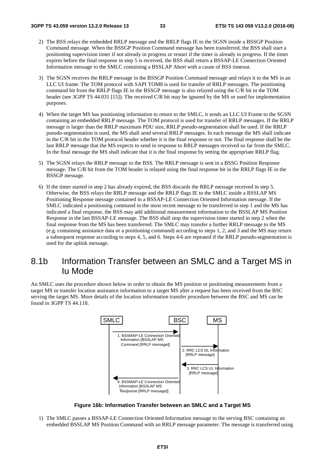- <span id="page-33-0"></span>2) The BSS relays the embedded RRLP message and the RRLP flags IE to the SGSN inside a BSSGP Position Command message. When the BSSGP Position Command message has been transferred, the BSS shall start a positioning supervision timer if not already in progress or restart if the timer is already in progress. If the timer expires before the final response in step 5 is received, the BSS shall return a BSSAP-LE Connection Oriented Information message to the SMLC containing a BSSLAP Abort with a cause of BSS timeout.
- 3) The SGSN receives the RRLP message in the BSSGP Position Command message and relays it to the MS in an LLC UI frame. The TOM protocol with SAPI TOM8 is used for transfer of RRLP messages. The positioning command bit from the RRLP flags IE in the BSSGP message is also relayed using the C/R bit in the TOM header (see 3GPP TS 44.031 [15]). The received C/R bit may be ignored by the MS or used for implementation purposes.
- 4) When the target MS has positioning information to return to the SMLC, it sends an LLC UI Frame to the SGSN containing an embedded RRLP message. The TOM protocol is used for transfer of RRLP messages. If the RRLP message is larger than the RRLP maximum PDU size, RRLP pseudo-segmentation shall be used. If the RRLP pseudo-segmentation is used, the MS shall send several RRLP messages. In each message the MS shall indicate in the C/R bit in the TOM protocol header whether it is the final response or not. The final response shall be the last RRLP message that the MS expects to send in response to RRLP messages received so far from the SMLC. In the final message the MS shall indicate that it is the final response by setting the appropriate RRLP flag.
- 5) The SGSN relays the RRLP message to the BSS. The RRLP message is sent in a BSSG Position Response message. The C/R bit from the TOM header is relayed using the final response bit in the RRLP flags IE in the BSSGP message.
- 6) If the timer started in step 2 has already expired, the BSS discards the RRLP message received in step 5. Otherwise, the BSS relays the RRLP message and the RRLP flags IE to the SMLC inside a BSSLAP MS Positioning Response message contained in a BSSAP-LE Connection Oriented Information message. If the SMLC indicated a positioning command in the most recent message to be transferred in step 1 and the MS has indicated a final response, the BSS may add additional measurement information to the BSSLAP MS Position Response in the last BSSAP-LE message. The BSS shall stop the supervision timer started in step 2 when the final response from the MS has been transferred. The SMLC may transfer a further RRLP message to the MS (e.g. containing assistance data or a positioning command) according to steps 1, 2, and 3 and the MS may return a subsequent response according to steps 4, 5, and 6. Steps 4-6 are repeated if the RRLP pseudo-segmentation is used for the uplink message.

# 8.1b Information Transfer between an SMLC and a Target MS in Iu Mode

An SMLC uses the procedure shown below in order to obtain the MS position or positioning measurements from a target MS or transfer location assistance information to a target MS after a request has been received from the BSC serving the target MS. More details of the location information transfer procedure between the BSC and MS can be found in 3GPP TS 44.118.



**Figure 16b: Information Transfer between an SMLC and a Target MS** 

1) The SMLC passes a BSSAP-LE Connection Oriented Information message to the serving BSC containing an embedded BSSLAP MS Position Command with an RRLP message parameter. The message is transferred using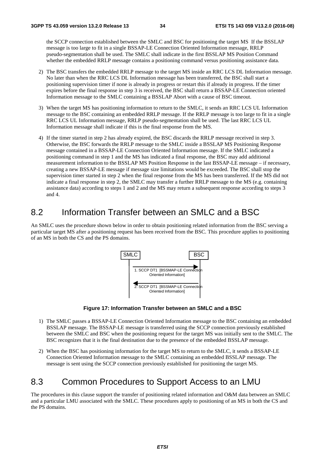<span id="page-34-0"></span>the SCCP connection established between the SMLC and BSC for positioning the target MS If the BSSLAP message is too large to fit in a single BSSAP-LE Connection Oriented Information message, RRLP pseudo-segmentation shall be used. The SMLC shall indicate in the first BSSLAP MS Position Command whether the embedded RRLP message contains a positioning command versus positioning assistance data.

- 2) The BSC transfers the embedded RRLP message to the target MS inside an RRC LCS DL Information message. No later than when the RRC LCS DL Information message has been transferred, the BSC shall start a positioning supervision timer if none is already in progress or restart this if already in progress. If the timer expires before the final response in step 3 is received, the BSC shall return a BSSAP-LE Connection oriented Information message to the SMLC containing a BSSLAP Abort with a cause of BSC timeout.
- 3) When the target MS has positioning information to return to the SMLC, it sends an RRC LCS UL Information message to the BSC containing an embedded RRLP message. If the RRLP message is too large to fit in a single RRC LCS UL Information message, RRLP pseudo-segmentation shall be used. The last RRC LCS UL Information message shall indicate if this is the final response from the MS.
- 4) If the timer started in step 2 has already expired, the BSC discards the RRLP message received in step 3. Otherwise, the BSC forwards the RRLP message to the SMLC inside a BSSLAP MS Positioning Response message contained in a BSSAP-LE Connection Oriented Information message. If the SMLC indicated a positioning command in step 1 and the MS has indicated a final response, the BSC may add additional measurement information to the BSSLAP MS Position Response in the last BSSAP-LE message – if necessary, creating a new BSSAP-LE message if message size limitations would be exceeded. The BSC shall stop the supervision timer started in step 2 when the final response from the MS has been transferred. If the MS did not indicate a final response in step 2, the SMLC may transfer a further RRLP message to the MS (e.g. containing assistance data) according to steps 1 and 2 and the MS may return a subsequent response according to steps 3 and 4.

# 8.2 Information Transfer between an SMLC and a BSC

An SMLC uses the procedure shown below in order to obtain positioning related information from the BSC serving a particular target MS after a positioning request has been received from the BSC. This procedure applies to positioning of an MS in both the CS and the PS domains.



**Figure 17: Information Transfer between an SMLC and a BSC** 

- 1) The SMLC passes a BSSAP-LE Connection Oriented Information message to the BSC containing an embedded BSSLAP message. The BSSAP-LE message is transferred using the SCCP connection previously established between the SMLC and BSC when the positioning request for the target MS was initially sent to the SMLC. The BSC recognizes that it is the final destination due to the presence of the embedded BSSLAP message.
- 2) When the BSC has positioning information for the target MS to return to the SMLC, it sends a BSSAP-LE Connection Oriented Information message to the SMLC containing an embedded BSSLAP message. The message is sent using the SCCP connection previously established for positioning the target MS.

# 8.3 Common Procedures to Support Access to an LMU

The procedures in this clause support the transfer of positioning related information and O&M data between an SMLC and a particular LMU associated with the SMLC. These procedures apply to positioning of an MS in both the CS and the PS domains.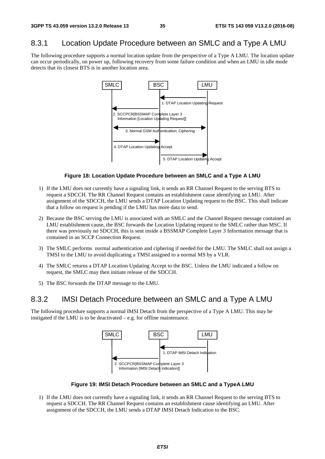### <span id="page-35-0"></span>8.3.1 Location Update Procedure between an SMLC and a Type A LMU

The following procedure supports a normal location update from the perspective of a Type A LMU. The location update can occur periodically, on power up, following recovery from some failure condition and when an LMU in idle mode detects that its closest BTS is in another location area.



#### **Figure 18: Location Update Procedure between an SMLC and a Type A LMU**

- 1) If the LMU does not currently have a signaling link, it sends an RR Channel Request to the serving BTS to request a SDCCH. The RR Channel Request contains an establishment cause identifying an LMU. After assignment of the SDCCH, the LMU sends a DTAP Location Updating request to the BSC. This shall indicate that a follow on request is pending if the LMU has more data to send.
- 2) Because the BSC serving the LMU is associated with an SMLC and the Channel Request message contained an LMU establishment cause, the BSC forwards the Location Updating request to the SMLC rather than MSC. If there was previously no SDCCH, this is sent inside a BSSMAP Complete Layer 3 Information message that is contained in an SCCP Connection Request.
- 3) The SMLC performs normal authentication and ciphering if needed for the LMU. The SMLC shall not assign a TMSI to the LMU to avoid duplicating a TMSI assigned to a normal MS by a VLR.
- 4) The SMLC returns a DTAP Location Updating Accept to the BSC. Unless the LMU indicated a follow on request, the SMLC may then initiate release of the SDCCH.
- 5) The BSC forwards the DTAP message to the LMU.

### 8.3.2 IMSI Detach Procedure between an SMLC and a Type A LMU

The following procedure supports a normal IMSI Detach from the perspective of a Type A LMU. This may be instigated if the LMU is to be deactivated – e.g. for offline maintenance.



#### **Figure 19: IMSI Detach Procedure between an SMLC and a TypeA LMU**

1) If the LMU does not currently have a signaling link, it sends an RR Channel Request to the serving BTS to request a SDCCH. The RR Channel Request contains an establishment cause identifying an LMU. After assignment of the SDCCH, the LMU sends a DTAP IMSI Detach Indication to the BSC.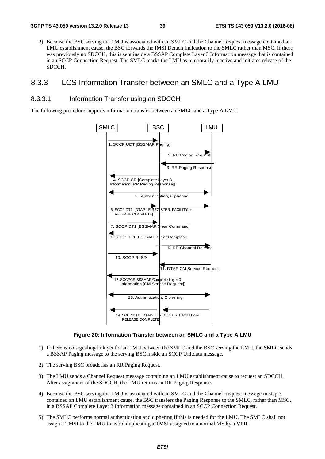2) Because the BSC serving the LMU is associated with an SMLC and the Channel Request message contained an LMU establishment cause, the BSC forwards the IMSI Detach Indication to the SMLC rather than MSC. If there was previously no SDCCH, this is sent inside a BSSAP Complete Layer 3 Information message that is contained in an SCCP Connection Request. The SMLC marks the LMU as temporarily inactive and initiates release of the SDCCH.

## 8.3.3 LCS Information Transfer between an SMLC and a Type A LMU

#### 8.3.3.1 Information Transfer using an SDCCH

The following procedure supports information transfer between an SMLC and a Type A LMU.



**Figure 20: Information Transfer between an SMLC and a Type A LMU** 

- 1) If there is no signaling link yet for an LMU between the SMLC and the BSC serving the LMU, the SMLC sends a BSSAP Paging message to the serving BSC inside an SCCP Unitdata message.
- 2) The serving BSC broadcasts an RR Paging Request.
- 3) The LMU sends a Channel Request message containing an LMU establishment cause to request an SDCCH. After assignment of the SDCCH, the LMU returns an RR Paging Response.
- 4) Because the BSC serving the LMU is associated with an SMLC and the Channel Request message in step 3 contained an LMU establishment cause, the BSC transfers the Paging Response to the SMLC, rather than MSC, in a BSSAP Complete Layer 3 Information message contained in an SCCP Connection Request.
- 5) The SMLC performs normal authentication and ciphering if this is needed for the LMU. The SMLC shall not assign a TMSI to the LMU to avoid duplicating a TMSI assigned to a normal MS by a VLR.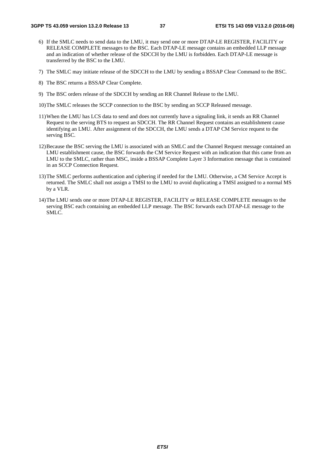- 6) If the SMLC needs to send data to the LMU, it may send one or more DTAP-LE REGISTER, FACILITY or RELEASE COMPLETE messages to the BSC. Each DTAP-LE message contains an embedded LLP message and an indication of whether release of the SDCCH by the LMU is forbidden. Each DTAP-LE message is transferred by the BSC to the LMU.
- 7) The SMLC may initiate release of the SDCCH to the LMU by sending a BSSAP Clear Command to the BSC.
- 8) The BSC returns a BSSAP Clear Complete.
- 9) The BSC orders release of the SDCCH by sending an RR Channel Release to the LMU.
- 10) The SMLC releases the SCCP connection to the BSC by sending an SCCP Released message.
- 11) When the LMU has LCS data to send and does not currently have a signaling link, it sends an RR Channel Request to the serving BTS to request an SDCCH. The RR Channel Request contains an establishment cause identifying an LMU. After assignment of the SDCCH, the LMU sends a DTAP CM Service request to the serving BSC.
- 12) Because the BSC serving the LMU is associated with an SMLC and the Channel Request message contained an LMU establishment cause, the BSC forwards the CM Service Request with an indication that this came from an LMU to the SMLC, rather than MSC, inside a BSSAP Complete Layer 3 Information message that is contained in an SCCP Connection Request.
- 13) The SMLC performs authentication and ciphering if needed for the LMU. Otherwise, a CM Service Accept is returned. The SMLC shall not assign a TMSI to the LMU to avoid duplicating a TMSI assigned to a normal MS by a VLR.
- 14) The LMU sends one or more DTAP-LE REGISTER, FACILITY or RELEASE COMPLETE messages to the serving BSC each containing an embedded LLP message. The BSC forwards each DTAP-LE message to the SMLC.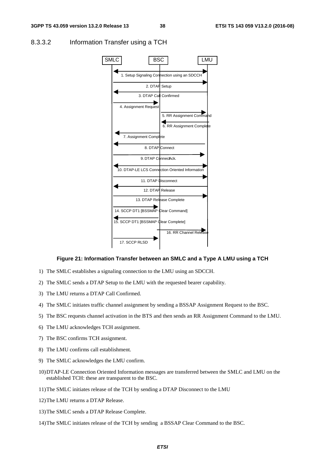

#### 8.3.3.2 Information Transfer using a TCH

#### **Figure 21: Information Transfer between an SMLC and a Type A LMU using a TCH**

- 1) The SMLC establishes a signaling connection to the LMU using an SDCCH.
- 2) The SMLC sends a DTAP Setup to the LMU with the requested bearer capability.
- 3) The LMU returns a DTAP Call Confirmed.
- 4) The SMLC initiates traffic channel assignment by sending a BSSAP Assignment Request to the BSC.
- 5) The BSC requests channel activation in the BTS and then sends an RR Assignment Command to the LMU.
- 6) The LMU acknowledges TCH assignment.
- 7) The BSC confirms TCH assignment.
- 8) The LMU confirms call establishment.
- 9) The SMLC acknowledges the LMU confirm.
- 10) DTAP-LE Connection Oriented Information messages are transferred between the SMLC and LMU on the established TCH: these are transparent to the BSC.
- 11) The SMLC initiates release of the TCH by sending a DTAP Disconnect to the LMU
- 12) The LMU returns a DTAP Release.
- 13) The SMLC sends a DTAP Release Complete.
- 14) The SMLC initiates release of the TCH by sending a BSSAP Clear Command to the BSC.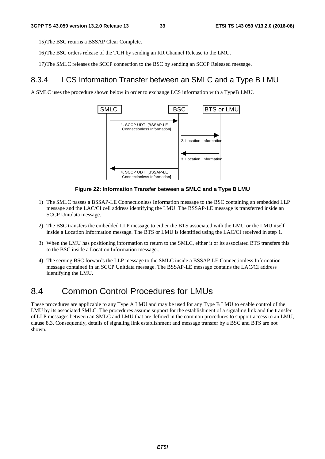15) The BSC returns a BSSAP Clear Complete.

- 16) The BSC orders release of the TCH by sending an RR Channel Release to the LMU.
- 17) The SMLC releases the SCCP connection to the BSC by sending an SCCP Released message.

### 8.3.4 LCS Information Transfer between an SMLC and a Type B LMU

A SMLC uses the procedure shown below in order to exchange LCS information with a TypeB LMU.



#### **Figure 22: Information Transfer between a SMLC and a Type B LMU**

- 1) The SMLC passes a BSSAP-LE Connectionless Information message to the BSC containing an embedded LLP message and the LAC/CI cell address identifying the LMU. The BSSAP-LE message is transferred inside an SCCP Unitdata message.
- 2) The BSC transfers the embedded LLP message to either the BTS associated with the LMU or the LMU itself inside a Location Information message. The BTS or LMU is identified using the LAC/CI received in step 1.
- 3) When the LMU has positioning information to return to the SMLC, either it or its associated BTS transfers this to the BSC inside a Location Information message..
- 4) The serving BSC forwards the LLP message to the SMLC inside a BSSAP-LE Connectionless Information message contained in an SCCP Unitdata message. The BSSAP-LE message contains the LAC/CI address identifying the LMU.

# 8.4 Common Control Procedures for LMUs

These procedures are applicable to any Type A LMU and may be used for any Type B LMU to enable control of the LMU by its associated SMLC. The procedures assume support for the establishment of a signaling link and the transfer of LLP messages between an SMLC and LMU that are defined in the common procedures to support access to an LMU, clause 8.3. Consequently, details of signaling link establishment and message transfer by a BSC and BTS are not shown.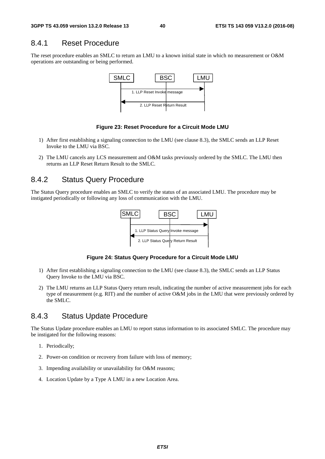## 8.4.1 Reset Procedure

The reset procedure enables an SMLC to return an LMU to a known initial state in which no measurement or O&M operations are outstanding or being performed.



#### **Figure 23: Reset Procedure for a Circuit Mode LMU**

- 1) After first establishing a signaling connection to the LMU (see clause 8.3), the SMLC sends an LLP Reset Invoke to the LMU via BSC.
- 2) The LMU cancels any LCS measurement and O&M tasks previously ordered by the SMLC. The LMU then returns an LLP Reset Return Result to the SMLC.

## 8.4.2 Status Query Procedure

The Status Query procedure enables an SMLC to verify the status of an associated LMU. The procedure may be instigated periodically or following any loss of communication with the LMU.



#### **Figure 24: Status Query Procedure for a Circuit Mode LMU**

- 1) After first establishing a signaling connection to the LMU (see clause 8.3), the SMLC sends an LLP Status Query Invoke to the LMU via BSC.
- 2) The LMU returns an LLP Status Query return result, indicating the number of active measurement jobs for each type of measurement (e.g. RIT) and the number of active O&M jobs in the LMU that were previously ordered by the SMLC.

### 8.4.3 Status Update Procedure

The Status Update procedure enables an LMU to report status information to its associated SMLC. The procedure may be instigated for the following reasons:

- 1. Periodically;
- 2. Power-on condition or recovery from failure with loss of memory;
- 3. Impending availability or unavailability for O&M reasons;
- 4. Location Update by a Type A LMU in a new Location Area.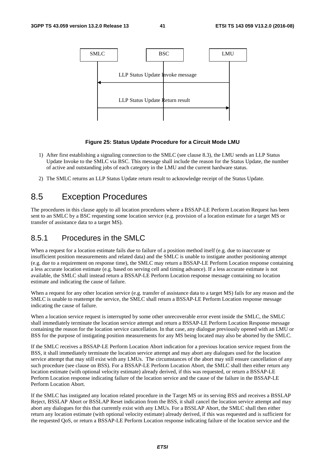

#### **Figure 25: Status Update Procedure for a Circuit Mode LMU**

- 1) After first establishing a signaling connection to the SMLC (see clause 8.3), the LMU sends an LLP Status Update Invoke to the SMLC via BSC. This message shall include the reason for the Status Update, the number of active and outstanding jobs of each category in the LMU and the current hardware status.
- 2) The SMLC returns an LLP Status Update return result to acknowledge receipt of the Status Update.

# 8.5 Exception Procedures

The procedures in this clause apply to all location procedures where a BSSAP-LE Perform Location Request has been sent to an SMLC by a BSC requesting some location service (e.g. provision of a location estimate for a target MS or transfer of assistance data to a target MS).

## 8.5.1 Procedures in the SMLC

When a request for a location estimate fails due to failure of a position method itself (e.g. due to inaccurate or insufficient position measurements and related data) and the SMLC is unable to instigate another positioning attempt (e.g. due to a requirement on response time), the SMLC may return a BSSAP-LE Perform Location response containing a less accurate location estimate (e.g. based on serving cell and timing advance). If a less accurate estimate is not available, the SMLC shall instead return a BSSAP-LE Perform Location response message containing no location estimate and indicating the cause of failure.

When a request for any other location service (e.g. transfer of assistance data to a target MS) fails for any reason and the SMLC is unable to reattempt the service, the SMLC shall return a BSSAP-LE Perform Location response message indicating the cause of failure.

When a location service request is interrupted by some other unrecoverable error event inside the SMLC, the SMLC shall immediately terminate the location service attempt and return a BSSAP-LE Perform Location Response message containing the reason for the location service cancellation. In that case, any dialogue previously opened with an LMU or BSS for the purpose of instigating position measurements for any MS being located may also be aborted by the SMLC.

If the SMLC receives a BSSAP-LE Perform Location Abort indication for a previous location service request from the BSS, it shall immediately terminate the location service attempt and may abort any dialogues used for the location service attempt that may still exist with any LMUs. The circumstances of the abort may still ensure cancellation of any such procedure (see clause on BSS). For a BSSAP-LE Perform Location Abort, the SMLC shall then either return any location estimate (with optional velocity estimate) already derived, if this was requested, or return a BSSAP-LE Perform Location response indicating failure of the location service and the cause of the failure in the BSSAP-LE Perform Location Abort.

If the SMLC has instigated any location related procedure in the Target MS or its serving BSS and receives a BSSLAP Reject, BSSLAP Abort or BSSLAP Reset indication from the BSS, it shall cancel the location service attempt and may abort any dialogues for this that currently exist with any LMUs. For a BSSLAP Abort, the SMLC shall then either return any location estimate (with optional velocity estimate) already derived, if this was requested and is sufficient for the requested QoS, or return a BSSAP-LE Perform Location response indicating failure of the location service and the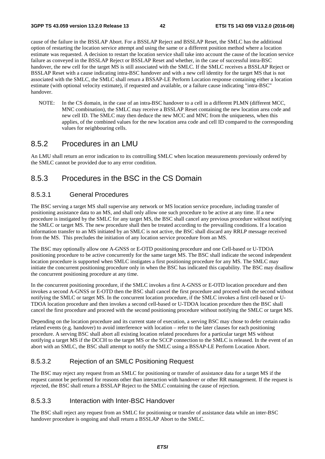cause of the failure in the BSSLAP Abort. For a BSSLAP Reject and BSSLAP Reset, the SMLC has the additional option of restarting the location service attempt and using the same or a different position method where a location estimate was requested. A decision to restart the location service shall take into account the cause of the location service failure as conveyed in the BSSLAP Reject or BSSLAP Reset and whether, in the case of successful intra-BSC handover, the new cell for the target MS is still associated with the SMLC. If the SMLC receives a BSSLAP Reject or BSSLAP Reset with a cause indicating intra-BSC handover and with a new cell identity for the target MS that is not associated with the SMLC, the SMLC shall return a BSSAP-LE Perform Location response containing either a location estimate (with optional velocity estimate), if requested and available, or a failure cause indicating "intra-BSC" handover.

NOTE: In the CS domain, in the case of an intra-BSC handover to a cell in a different PLMN (different MCC, MNC combination), the SMLC may receive a BSSLAP Reset containing the new location area code and new cell ID. The SMLC may then deduce the new MCC and MNC from the uniqueness, when this applies, of the combined values for the new location area code and cell ID compared to the corresponding values for neighbouring cells.

### 8.5.2 Procedures in an LMU

An LMU shall return an error indication to its controlling SMLC when location measurements previously ordered by the SMLC cannot be provided due to any error condition.

# 8.5.3 Procedures in the BSC in the CS Domain

#### 8.5.3.1 General Procedures

The BSC serving a target MS shall supervise any network or MS location service procedure, including transfer of positioning assistance data to an MS, and shall only allow one such procedure to be active at any time. If a new procedure is instigated by the SMLC for any target MS, the BSC shall cancel any previous procedure without notifying the SMLC or target MS. The new procedure shall then be treated according to the prevailing conditions. If a location information transfer to an MS initiated by an SMLC is not active, the BSC shall discard any RRLP message received from the MS. This precludes the initiation of any location service procedure from an MS.

The BSC may optionally allow one A-GNSS or E-OTD positioning procedure and one Cell-based or U-TDOA positioning procedure to be active concurrently for the same target MS. The BSC shall indicate the second independent location procedure is supported when SMLC instigates a first positioning procedure for any MS. The SMLC may initiate the concurrent positioning procedure only in when the BSC has indicated this capability. The BSC may disallow the concurrent positioning procedure at any time.

In the concurrent positioning procedure, if the SMLC invokes a first A-GNSS or E-OTD location procedure and then invokes a second A-GNSS or E-OTD then the BSC shall cancel the first procedure and proceed with the second without notifying the SMLC or target MS. In the concurrent location procedure, if the SMLC invokes a first cell-based or U-TDOA location procedure and then invokes a second cell-based or U-TDOA location procedure then the BSC shall cancel the first procedure and proceed with the second positioning procedure without notifying the SMLC or target MS.

Depending on the location procedure and its current state of execution, a serving BSC may chose to defer certain radio related events (e.g. handover) to avoid interference with location – refer to the later clauses for each positioning procedure. A serving BSC shall abort all existing location related procedures for a particular target MS without notifying a target MS if the DCCH to the target MS or the SCCP connection to the SMLC is released. In the event of an abort with an SMLC, the BSC shall attempt to notify the SMLC using a BSSAP-LE Perform Location Abort.

### 8.5.3.2 Rejection of an SMLC Positioning Request

The BSC may reject any request from an SMLC for positioning or transfer of assistance data for a target MS if the request cannot be performed for reasons other than interaction with handover or other RR management. If the request is rejected, the BSC shall return a BSSLAP Reject to the SMLC containing the cause of rejection.

#### 8.5.3.3 Interaction with Inter-BSC Handover

The BSC shall reject any request from an SMLC for positioning or transfer of assistance data while an inter-BSC handover procedure is ongoing and shall return a BSSLAP Abort to the SMLC.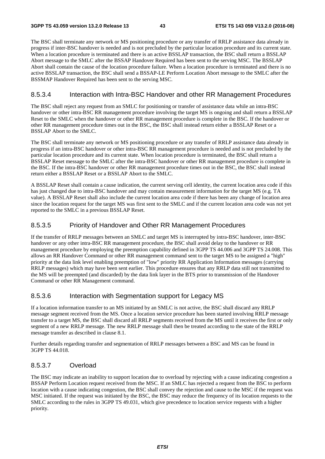The BSC shall terminate any network or MS positioning procedure or any transfer of RRLP assistance data already in progress if inter-BSC handover is needed and is not precluded by the particular location procedure and its current state. When a location procedure is terminated and there is an active BSSLAP transaction, the BSC shall return a BSSLAP Abort message to the SMLC after the BSSAP Handover Required has been sent to the serving MSC. The BSSLAP Abort shall contain the cause of the location procedure failure. When a location procedure is terminated and there is no active BSSLAP transaction, the BSC shall send a BSSAP-LE Perform Location Abort message to the SMLC after the BSSMAP Handover Required has been sent to the serving MSC.

#### 8.5.3.4 Interaction with Intra-BSC Handover and other RR Management Procedures

The BSC shall reject any request from an SMLC for positioning or transfer of assistance data while an intra-BSC handover or other intra-BSC RR management procedure involving the target MS is ongoing and shall return a BSSLAP Reset to the SMLC when the handover or other RR management procedure is complete in the BSC. If the handover or other RR management procedure times out in the BSC, the BSC shall instead return either a BSSLAP Reset or a BSSLAP Abort to the SMLC.

The BSC shall terminate any network or MS positioning procedure or any transfer of RRLP assistance data already in progress if an intra-BSC handover or other intra-BSC RR management procedure is needed and is not precluded by the particular location procedure and its current state. When location procedure is terminated, the BSC shall return a BSSLAP Reset message to the SMLC after the intra-BSC handover or other RR management procedure is complete in the BSC. If the intra-BSC handover or other RR management procedure times out in the BSC, the BSC shall instead return either a BSSLAP Reset or a BSSLAP Abort to the SMLC.

A BSSLAP Reset shall contain a cause indication, the current serving cell identity, the current location area code if this has just changed due to intra-BSC handover and may contain measurement information for the target MS (e.g. TA value). A BSSLAP Reset shall also include the current location area code if there has been any change of location area since the location request for the target MS was first sent to the SMLC and if the current location area code was not yet reported to the SMLC in a previous BSSLAP Reset.

#### 8.5.3.5 Priority of Handover and Other RR Management Procedures

If the transfer of RRLP messages between an SMLC and target MS is interrupted by intra-BSC handover, inter-BSC handover or any other intra-BSC RR management procedure, the BSC shall avoid delay to the handover or RR management procedure by employing the preemption capability defined in 3GPP TS 44.006 and 3GPP TS 24.008. This allows an RR Handover Command or other RR management command sent to the target MS to be assigned a "high" priority at the data link level enabling preemption of "low" priority RR Application Information messages (carrying RRLP messages) which may have been sent earlier. This procedure ensures that any RRLP data still not transmitted to the MS will be preempted (and discarded) by the data link layer in the BTS prior to transmission of the Handover Command or other RR Management command.

#### 8.5.3.6 Interaction with Segmentation support for Legacy MS

If a location information transfer to an MS initiated by an SMLC is not active, the BSC shall discard any RRLP message segment received from the MS. Once a location service procedure has been started involving RRLP message transfer to a target MS, the BSC shall discard all RRLP segments received from the MS until it receives the first or only segment of a new RRLP message. The new RRLP message shall then be treated according to the state of the RRLP message transfer as described in clause 8.1.

Further details regarding transfer and segmentation of RRLP messages between a BSC and MS can be found in 3GPP TS 44.018.

### 8.5.3.7 Overload

The BSC may indicate an inability to support location due to overload by rejecting with a cause indicating congestion a BSSAP Perform Location request received from the MSC. If an SMLC has rejected a request from the BSC to perform location with a cause indicating congestion, the BSC shall convey the rejection and cause to the MSC if the request was MSC initiated. If the request was initiated by the BSC, the BSC may reduce the frequency of its location requests to the SMLC according to the rules in 3GPP TS 49.031, which give precedence to location service requests with a higher priority.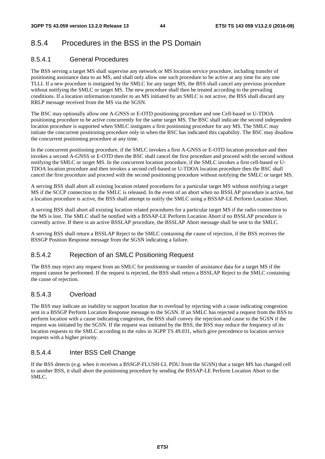# 8.5.4 Procedures in the BSS in the PS Domain

### 8.5.4.1 General Procedures

The BSS serving a target MS shall supervise any network or MS location service procedure, including transfer of positioning assistance data to an MS, and shall only allow one such procedure to be active at any time for any one TLLI. If a new procedure is instigated by the SMLC for any target MS, the BSS shall cancel any previous procedure without notifying the SMLC or target MS. The new procedure shall then be treated according to the prevailing conditions. If a location information transfer to an MS initiated by an SMLC is not active, the BSS shall discard any RRLP message received from the MS via the SGSN.

The BSC may optionally allow one A-GNSS or E-OTD positioning procedure and one Cell-based or U-TDOA positioning procedure to be active concurrently for the same target MS. The BSC shall indicate the second independent location procedure is supported when SMLC instigates a first positioning procedure for any MS. The SMLC may initiate the concurrent positioning procedure only in when the BSC has indicated this capability. The BSC may disallow the concurrent positioning procedure at any time.

In the concurrent positioning procedure, if the SMLC invokes a first A-GNSS or E-OTD location procedure and then invokes a second A-GNSS or E-OTD then the BSC shall cancel the first procedure and proceed with the second without notifying the SMLC or target MS. In the concurrent location procedure, if the SMLC invokes a first cell-based or U-TDOA location procedure and then invokes a second cell-based or U-TDOA location procedure then the BSC shall cancel the first procedure and proceed with the second positioning procedure without notifying the SMLC or target MS.

A serving BSS shall abort all existing location related procedures for a particular target MS without notifying a target MS if the SCCP connection to the SMLC is released. In the event of an abort when no BSSLAP procedure is active, but a location procedure is active, the BSS shall attempt to notify the SMLC using a BSSAP-LE Perform Location Abort.

A serving BSS shall abort all existing location related procedures for a particular target MS if the radio connection to the MS is lost. The SMLC shall be notified with a BSSAP-LE Perform Location Abort if no BSSLAP procedure is currently active. If there is an active BSSLAP procedure, the BSSLAP Abort message shall be sent to the SMLC.

A serving BSS shall return a BSSLAP Reject to the SMLC containing the cause of rejection, if the BSS receives the BSSGP Position Response message from the SGSN indicating a failure.

### 8.5.4.2 Rejection of an SMLC Positioning Request

The BSS may reject any request from an SMLC for positioning or transfer of assistance data for a target MS if the request cannot be performed. If the request is rejected, the BSS shall return a BSSLAP Reject to the SMLC containing the cause of rejection.

### 8.5.4.3 Overload

The BSS may indicate an inability to support location due to overload by rejecting with a cause indicating congestion sent in a BSSGP Perform Location Response message to the SGSN. If an SMLC has rejected a request from the BSS to perform location with a cause indicating congestion, the BSS shall convey the rejection and cause to the SGSN if the request was initiated by the SGSN. If the request was initiated by the BSS, the BSS may reduce the frequency of its location requests to the SMLC according to the rules in 3GPP TS 49.031, which give precedence to location service requests with a higher priority.

### 8.5.4.4 Inter BSS Cell Change

If the BSS detects (e.g. when it receives a BSSGP-FLUSH-LL PDU from the SGSN) that a target MS has changed cell to another BSS, it shall abort the positioning procedure by sending the BSSAP-LE Perform Location Abort to the SMLC.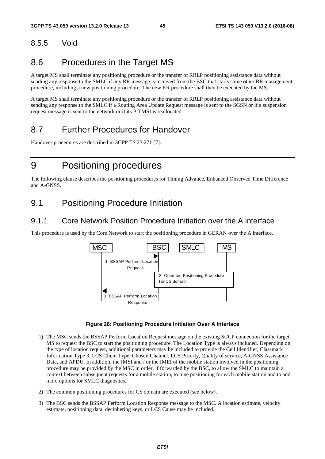# 8.5.5 Void

# 8.6 Procedures in the Target MS

A target MS shall terminate any positioning procedure or the transfer of RRLP positioning assistance data without sending any response to the SMLC if any RR message is received from the BSC that starts some other RR management procedure, including a new positioning procedure. The new RR procedure shall then be executed by the MS.

A target MS shall terminate any positioning procedure or the transfer of RRLP positioning assistance data without sending any response to the SMLC if a Routing Area Update Request message is sent to the SGSN or if a suspension request message is sent to the network or if its P-TMSI is reallocated.

# 8.7 Further Procedures for Handover

Handover procedures are described in 3GPP TS 23.271 [7].

# 9 Positioning procedures

The following clause describes the positioning procedures for Timing Advance, Enhanced Observed Time Difference and A-GNSS.

# 9.1 Positioning Procedure Initiation

## 9.1.1 Core Network Position Procedure Initiation over the A interface

This procedure is used by the Core Network to start the positioning procedure in GERAN over the A interface.





- 1) The MSC sends the BSSAP Perform Location Request message on the existing SCCP connection for the target MS to request the BSC to start the positioning procedure. The Location Type is always included. Depending on the type of location request, additional parameters may be included to provide the Cell Identifier, Classmark Information Type 3, LCS Client Type, Chosen Channel, LCS Priority, Quality of service, A-GNSS Assistance Data, and APDU. In addition, the IMSI and / or the IMEI of the mobile station involved in the positioning procedure may be provided by the MSC in order, if forwarded by the BSC, to allow the SMLC to maintain a context between subsequent requests for a mobile station, to tune positioning for each mobile station and to add more options for SMLC diagnostics.
- 2) The common positioning procedures for CS domain are executed (see below).
- 3) The BSC sends the BSSAP Perform Location Response message to the MSC. A location estimate, velocity estimate, positioning data, deciphering keys, or LCS Cause may be included.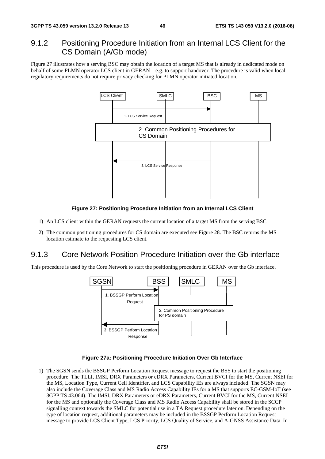## 9.1.2 Positioning Procedure Initiation from an Internal LCS Client for the CS Domain (A/Gb mode)

Figure 27 illustrates how a serving BSC may obtain the location of a target MS that is already in dedicated mode on behalf of some PLMN operator LCS client in GERAN – e.g. to support handover. The procedure is valid when local regulatory requirements do not require privacy checking for PLMN operator initiated location.



#### **Figure 27: Positioning Procedure Initiation from an Internal LCS Client**

- 1) An LCS client within the GERAN requests the current location of a target MS from the serving BSC
- 2) The common positioning procedures for CS domain are executed see Figure 28. The BSC returns the MS location estimate to the requesting LCS client.

### 9.1.3 Core Network Position Procedure Initiation over the Gb interface

This procedure is used by the Core Network to start the positioning procedure in GERAN over the Gb interface.



#### **Figure 27a: Positioning Procedure Initiation Over Gb Interface**

1) The SGSN sends the BSSGP Perform Location Request message to request the BSS to start the positioning procedure. The TLLI, IMSI, DRX Parameters or eDRX Parameters, Current BVCI for the MS, Current NSEI for the MS, Location Type, Current Cell Identifier, and LCS Capability IEs are always included. The SGSN may also include the Coverage Class and MS Radio Access Capability IEs for a MS that supports EC-GSM-IoT (see 3GPP TS 43.064). The IMSI, DRX Parameters or eDRX Parameters, Current BVCI for the MS, Current NSEI for the MS and optionally the Coverage Class and MS Radio Access Capability shall be stored in the SCCP signalling context towards the SMLC for potential use in a TA Request procedure later on. Depending on the type of location request, additional parameters may be included in the BSSGP Perform Location Request message to provide LCS Client Type, LCS Priority, LCS Quality of Service, and A-GNSS Assistance Data. In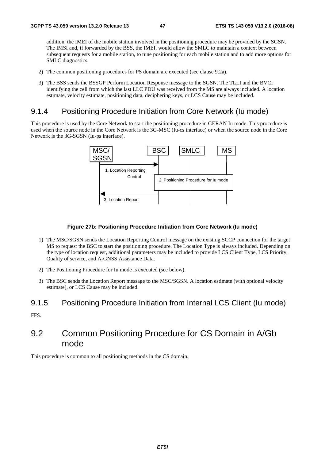addition, the IMEI of the mobile station involved in the positioning procedure may be provided by the SGSN. The IMSI and, if forwarded by the BSS, the IMEI, would allow the SMLC to maintain a context between subsequent requests for a mobile station, to tune positioning for each mobile station and to add more options for SMLC diagnostics.

- 2) The common positioning procedures for PS domain are executed (see clause 9.2a).
- 3) The BSS sends the BSSGP Perform Location Response message to the SGSN. The TLLI and the BVCI identifying the cell from which the last LLC PDU was received from the MS are always included. A location estimate, velocity estimate, positioning data, deciphering keys, or LCS Cause may be included.

## 9.1.4 Positioning Procedure Initiation from Core Network (Iu mode)

This procedure is used by the Core Network to start the positioning procedure in GERAN Iu mode. This procedure is used when the source node in the Core Network is the 3G-MSC (Iu-cs interface) or when the source node in the Core Network is the 3G-SGSN (Iu-ps interface).



#### **Figure 27b: Positioning Procedure Initiation from Core Network (Iu mode)**

- 1) The MSC/SGSN sends the Location Reporting Control message on the existing SCCP connection for the target MS to request the BSC to start the positioning procedure. The Location Type is always included. Depending on the type of location request, additional parameters may be included to provide LCS Client Type, LCS Priority, Quality of service, and A-GNSS Assistance Data.
- 2) The Positioning Procedure for Iu mode is executed (see below).
- 3) The BSC sends the Location Report message to the MSC/SGSN. A location estimate (with optional velocity estimate), or LCS Cause may be included.

### 9.1.5 Positioning Procedure Initiation from Internal LCS Client (Iu mode)

FFS.

# 9.2 Common Positioning Procedure for CS Domain in A/Gb mode

This procedure is common to all positioning methods in the CS domain.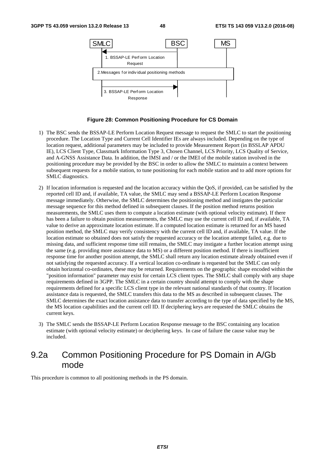

#### **Figure 28: Common Positioning Procedure for CS Domain**

- 1) The BSC sends the BSSAP-LE Perform Location Request message to request the SMLC to start the positioning procedure. The Location Type and Current Cell Identifier IEs are always included. Depending on the type of location request, additional parameters may be included to provide Measurement Report (in BSSLAP APDU IE), LCS Client Type, Classmark Information Type 3, Chosen Channel, LCS Priority, LCS Quality of Service, and A-GNSS Assistance Data. In addition, the IMSI and / or the IMEI of the mobile station involved in the positioning procedure may be provided by the BSC in order to allow the SMLC to maintain a context between subsequent requests for a mobile station, to tune positioning for each mobile station and to add more options for SMLC diagnostics.
- 2) If location information is requested and the location accuracy within the QoS, if provided, can be satisfied by the reported cell ID and, if available, TA value, the SMLC may send a BSSAP-LE Perform Location Response message immediately. Otherwise, the SMLC determines the positioning method and instigates the particular message sequence for this method defined in subsequent clauses. If the position method returns position measurements, the SMLC uses them to compute a location estimate (with optional velocity estimate). If there has been a failure to obtain position measurements, the SMLC may use the current cell ID and, if available, TA value to derive an approximate location estimate. If a computed location estimate is returned for an MS based position method, the SMLC may verify consistency with the current cell ID and, if available, TA value. If the location estimate so obtained does not satisfy the requested accuracy or the location attempt failed, e.g. due to missing data, and sufficient response time still remains, the SMLC may instigate a further location attempt using the same (e.g. providing more assistance data to MS) or a different position method. If there is insufficient response time for another position attempt, the SMLC shall return any location estimate already obtained even if not satisfying the requested accuracy. If a vertical location co-ordinate is requested but the SMLC can only obtain horizontal co-ordinates, these may be returned. Requirements on the geographic shape encoded within the "position information" parameter may exist for certain LCS client types. The SMLC shall comply with any shape requirements defined in 3GPP. The SMLC in a certain country should attempt to comply with the shape requirements defined for a specific LCS client type in the relevant national standards of that country. If location assistance data is requested, the SMLC transfers this data to the MS as described in subsequent clauses. The SMLC determines the exact location assistance data to transfer according to the type of data specified by the MS, the MS location capabilities and the current cell ID. If deciphering keys are requested the SMLC obtains the current keys.
- 3) The SMLC sends the BSSAP-LE Perform Location Response message to the BSC containing any location estimate (with optional velocity estimate) or deciphering keys. In case of failure the cause value may be included.

# 9.2a Common Positioning Procedure for PS Domain in A/Gb mode

This procedure is common to all positioning methods in the PS domain.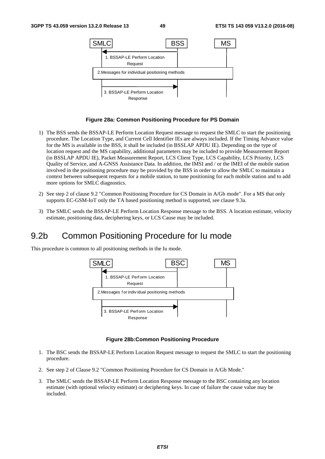

#### **Figure 28a: Common Positioning Procedure for PS Domain**

- 1) The BSS sends the BSSAP-LE Perform Location Request message to request the SMLC to start the positioning procedure. The Location Type, and Current Cell Identifier IEs are always included. If the Timing Advance value for the MS is available in the BSS, it shall be included (in BSSLAP APDU IE). Depending on the type of location request and the MS capability, additional parameters may be included to provide Measurement Report (in BSSLAP APDU IE), Packet Measurement Report, LCS Client Type, LCS Capability, LCS Priority, LCS Quality of Service, and A-GNSS Assistance Data. In addition, the IMSI and / or the IMEI of the mobile station involved in the positioning procedure may be provided by the BSS in order to allow the SMLC to maintain a context between subsequent requests for a mobile station, to tune positioning for each mobile station and to add more options for SMLC diagnostics.
- 2) See step 2 of clause 9.2 "Common Positioning Procedure for CS Domain in A/Gb mode". For a MS that only supports EC-GSM-IoT only the TA based positioning method is supported, see clause 9.3a.
- 3) The SMLC sends the BSSAP-LE Perform Location Response message to the BSS. A location estimate, velocity estimate, positioning data, deciphering keys, or LCS Cause may be included.

# 9.2b Common Positioning Procedure for Iu mode

This procedure is common to all positioning methods in the Iu mode.



#### **Figure 28b:Common Positioning Procedure**

- 1. The BSC sends the BSSAP-LE Perform Location Request message to request the SMLC to start the positioning procedure.
- 2. See step 2 of Clause 9.2 "Common Positioning Procedure for CS Domain in A/Gb Mode."
- 3. The SMLC sends the BSSAP-LE Perform Location Response message to the BSC containing any location estimate (with optional velocity estimate) or deciphering keys. In case of failure the cause value may be included.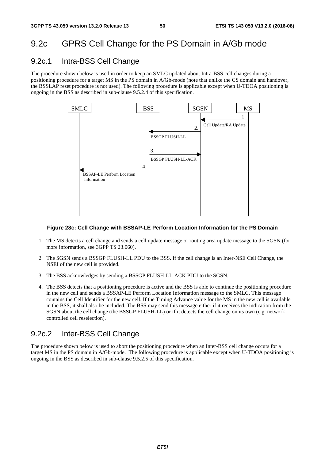# 9.2c GPRS Cell Change for the PS Domain in A/Gb mode

## 9.2c.1 Intra-BSS Cell Change

The procedure shown below is used in order to keep an SMLC updated about Intra-BSS cell changes during a positioning procedure for a target MS in the PS domain in A/Gb-mode (note that unlike the CS domain and handover, the BSSLAP reset procedure is not used). The following procedure is applicable except when U-TDOA positioning is ongoing in the BSS as described in sub-clause 9.5.2.4 of this specification.



#### **Figure 28c: Cell Change with BSSAP-LE Perform Location Information for the PS Domain**

- 1. The MS detects a cell change and sends a cell update message or routing area update message to the SGSN (for more information, see 3GPP TS 23.060).
- 2. The SGSN sends a BSSGP FLUSH-LL PDU to the BSS. If the cell change is an Inter-NSE Cell Change, the NSEI of the new cell is provided.
- 3. The BSS acknowledges by sending a BSSGP FLUSH-LL-ACK PDU to the SGSN.
- 4. The BSS detects that a positioning procedure is active and the BSS is able to continue the positioning procedure in the new cell and sends a BSSAP-LE Perform Location Information message to the SMLC. This message contains the Cell Identifier for the new cell. If the Timing Advance value for the MS in the new cell is available in the BSS, it shall also be included. The BSS may send this message either if it receives the indication from the SGSN about the cell change (the BSSGP FLUSH-LL) or if it detects the cell change on its own (e.g. network controlled cell reselection).

## 9.2c.2 Inter-BSS Cell Change

The procedure shown below is used to abort the positioning procedure when an Inter-BSS cell change occurs for a target MS in the PS domain in A/Gb-mode. The following procedure is applicable except when U-TDOA positioning is ongoing in the BSS as described in sub-clause 9.5.2.5 of this specification.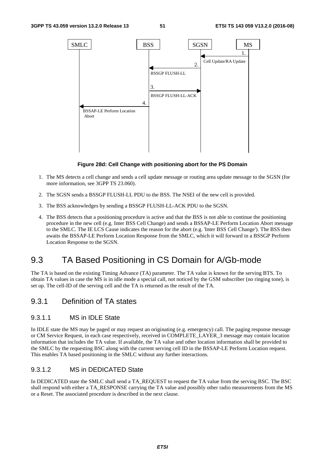

#### **Figure 28d: Cell Change with positioning abort for the PS Domain**

- 1. The MS detects a cell change and sends a cell update message or routing area update message to the SGSN (for more information, see 3GPP TS 23.060).
- 2. The SGSN sends a BSSGP FLUSH-LL PDU to the BSS. The NSEI of the new cell is provided.
- 3. The BSS acknowledges by sending a BSSGP FLUSH-LL-ACK PDU to the SGSN.
- 4. The BSS detects that a positioning procedure is active and that the BSS is not able to continue the positioning procedure in the new cell (e.g. Inter BSS Cell Change) and sends a BSSAP-LE Perform Location Abort message to the SMLC. The IE LCS Cause indicates the reason for the abort (e.g. 'Inter BSS Cell Change'). The BSS then awaits the BSSAP-LE Perform Location Response from the SMLC, which it will forward in a BSSGP Perform Location Response to the SGSN.

# 9.3 TA Based Positioning in CS Domain for A/Gb-mode

The TA is based on the existing Timing Advance (TA) parameter. The TA value is known for the serving BTS. To obtain TA values in case the MS is in idle mode a special call, not noticed by the GSM subscriber (no ringing tone), is set up. The cell-ID of the serving cell and the TA is returned as the result of the TA.

## 9.3.1 Definition of TA states

### 9.3.1.1 MS in IDLE State

In IDLE state the MS may be paged or may request an originating (e.g. emergency) call. The paging response message or CM Service Request, in each case respectively, received in COMPLETE\_LAYER\_3 message may contain location information that includes the TA value. If available, the TA value and other location information shall be provided to the SMLC by the requesting BSC along with the current serving cell ID in the BSSAP-LE Perform Location request. This enables TA based positioning in the SMLC without any further interactions.

### 9.3.1.2 MS in DEDICATED State

In DEDICATED state the SMLC shall send a TA\_REQUEST to request the TA value from the serving BSC. The BSC shall respond with either a TA\_RESPONSE carrying the TA value and possibly other radio measurements from the MS or a Reset. The associated procedure is described in the next clause.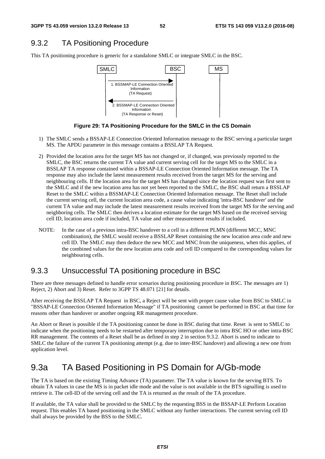# 9.3.2 TA Positioning Procedure

This TA positioning procedure is generic for a standalone SMLC or integrate SMLC in the BSC.



**Figure 29: TA Positioning Procedure for the SMLC in the CS Domain** 

- 1) The SMLC sends a BSSAP-LE Connection Oriented Information message to the BSC serving a particular target MS. The APDU parameter in this message contains a BSSLAP TA Request.
- 2) Provided the location area for the target MS has not changed or, if changed, was previously reported to the SMLC, the BSC returns the current TA value and current serving cell for the target MS to the SMLC in a BSSLAP TA response contained within a BSSAP-LE Connection Oriented Information message. The TA response may also include the latest measurement results received from the target MS for the serving and neighbouring cells. If the location area for the target MS has changed since the location request was first sent to the SMLC and if the new location area has not yet been reported to the SMLC, the BSC shall return a BSSLAP Reset to the SMLC within a BSSMAP-LE Connection Oriented Information message. The Reset shall include the current serving cell, the current location area code, a cause value indicating 'intra-BSC handover' and the current TA value and may include the latest measurement results received from the target MS for the serving and neighboring cells. The SMLC then derives a location estimate for the target MS based on the received serving cell ID, location area code if included, TA value and other measurement results if included.
- NOTE: In the case of a previous intra-BSC handover to a cell in a different PLMN (different MCC, MNC combination), the SMLC would receive a BSSLAP Reset containing the new location area code and new cell ID. The SMLC may then deduce the new MCC and MNC from the uniqueness, when this applies, of the combined values for the new location area code and cell ID compared to the corresponding values for neighbouring cells.

## 9.3.3 Unsuccessful TA positioning procedure in BSC

There are three messages defined to handle error scenarios during positioning procedure in BSC. The messages are 1) Reject, 2) Abort and 3) Reset. Refer to 3GPP TS 48.071 [21] for details.

After receiving the BSSLAP TA Request in BSC, a Reject will be sent with proper cause value from BSC to SMLC in "BSSAP-LE Connection Oriented Information Message" if TA positioning cannot be performed in BSC at that time for reasons other than handover or another ongoing RR management procedure.

An Abort or Reset is possible if the TA positioning cannot be done in BSC during that time. Reset is sent to SMLC to indicate when the positioning needs to be restarted after temporary interruption due to intra BSC HO or other intra-BSC RR management. The contents of a Reset shall be as defined in step 2 in section 9.3.2. Abort is used to indicate to SMLC the failure of the current TA positioning attempt (e.g. due to inter-BSC handover) and allowing a new one from application level.

# 9.3a TA Based Positioning in PS Domain for A/Gb-mode

The TA is based on the existing Timing Advance (TA) parameter. The TA value is known for the serving BTS. To obtain TA values in case the MS is in packet idle mode and the value is not available in the BTS signalling is used to retrieve it. The cell-ID of the serving cell and the TA is returned as the result of the TA procedure.

If available, the TA value shall be provided to the SMLC by the requesting BSS in the BSSAP-LE Perform Location request. This enables TA based positioning in the SMLC without any further interactions. The current serving cell ID shall always be provided by the BSS to the SMLC.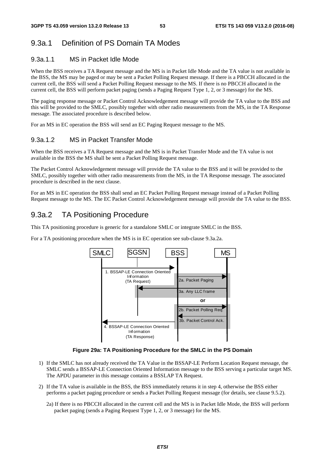# 9.3a.1 Definition of PS Domain TA Modes

### 9.3a.1.1 MS in Packet Idle Mode

When the BSS receives a TA Request message and the MS is in Packet Idle Mode and the TA value is not available in the BSS, the MS may be paged or may be sent a Packet Polling Request message. If there is a PBCCH allocated in the current cell, the BSS will send a Packet Polling Request message to the MS. If there is no PBCCH allocated in the current cell, the BSS will perform packet paging (sends a Paging Request Type 1, 2, or 3 message) for the MS.

The paging response message or Packet Control Acknowledgement message will provide the TA value to the BSS and this will be provided to the SMLC, possibly together with other radio measurements from the MS, in the TA Response message. The associated procedure is described below.

For an MS in EC operation the BSS will send an EC Paging Request message to the MS.

## 9.3a.1.2 MS in Packet Transfer Mode

When the BSS receives a TA Request message and the MS is in Packet Transfer Mode and the TA value is not available in the BSS the MS shall be sent a Packet Polling Request message.

The Packet Control Acknowledgement message will provide the TA value to the BSS and it will be provided to the SMLC, possibly together with other radio measurements from the MS, in the TA Response message. The associated procedure is described in the next clause.

For an MS in EC operation the BSS shall send an EC Packet Polling Request message instead of a Packet Polling Request message to the MS. The EC Packet Control Acknowledgement message will provide the TA value to the BSS.

## 9.3a.2 TA Positioning Procedure

This TA positioning procedure is generic for a standalone SMLC or integrate SMLC in the BSS.

For a TA positioning procedure when the MS is in EC operation see sub-clause 9.3a.2a.



#### **Figure 29a: TA Positioning Procedure for the SMLC in the PS Domain**

- 1) If the SMLC has not already received the TA Value in the BSSAP-LE Perform Location Request message, the SMLC sends a BSSAP-LE Connection Oriented Information message to the BSS serving a particular target MS. The APDU parameter in this message contains a BSSLAP TA Request.
- 2) If the TA value is available in the BSS, the BSS immediately returns it in step 4, otherwise the BSS either performs a packet paging procedure or sends a Packet Polling Request message (for details, see clause 9.5.2).
	- 2a) If there is no PBCCH allocated in the current cell and the MS is in Packet Idle Mode, the BSS will perform packet paging (sends a Paging Request Type 1, 2, or 3 message) for the MS.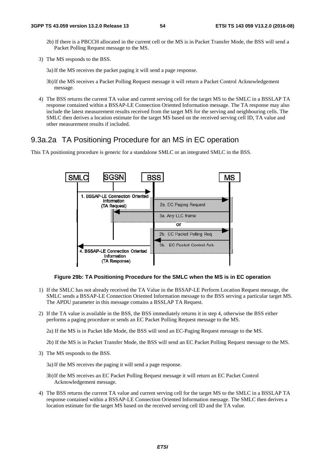2b) If there is a PBCCH allocated in the current cell or the MS is in Packet Transfer Mode, the BSS will send a Packet Polling Request message to the MS.

- 3a) If the MS receives the packet paging it will send a page response.
- 3b) If the MS receives a Packet Polling Request message it will return a Packet Control Acknowledgement message.
- 4) The BSS returns the current TA value and current serving cell for the target MS to the SMLC in a BSSLAP TA response contained within a BSSAP-LE Connection Oriented Information message. The TA response may also include the latest measurement results received from the target MS for the serving and neighbouring cells. The SMLC then derives a location estimate for the target MS based on the received serving cell ID, TA value and other measurement results if included.

## 9.3a.2a TA Positioning Procedure for an MS in EC operation

This TA positioning procedure is generic for a standalone SMLC or an integrated SMLC in the BSS.



#### **Figure 29b: TA Positioning Pr Procedure for the SMLC when the MS is in EC op operation**

- 1) If the SMLC has not already received the TA Value in the BSSAP-LE Perform Location Request message, the SMLC sends a BSSAP-LE Connection Oriented Information message to the BSS serving a particular target MS. The APDU parameter in this message contains a BSSLAP TA Request.
- 2) If the TA value is available in the BSS, the BSS immediately returns it in step 4, otherwise the BSS either performs a paging procedure or sends an EC Packet Polling Request message to the MS.

2a) If the MS is in Packet Idle Mode, the BSS will send an EC-Paging Request message to the MS.

2b) If the MS is in Packet Transfer Mode, the BSS will send an EC Packet Polling Request message to the MS.

3) The MS responds to the BSS.

3a) If the MS receives the paging it wi will send a page response.

- 3b) If the MS receives an EC Packet Polling Request message it will return an EC Packet Control Acknowledgement message.
- 4) The BSS returns the current TA value and current serving cell for the target MS to the SMLC in a BSSLAP TA response contained within a BSSAP-LE Connection Oriented Information message. The SMLC then derives a location estimate for the target MS based on the received serving cell ID and the TA value.

<sup>3)</sup> The MS responds to the BSS.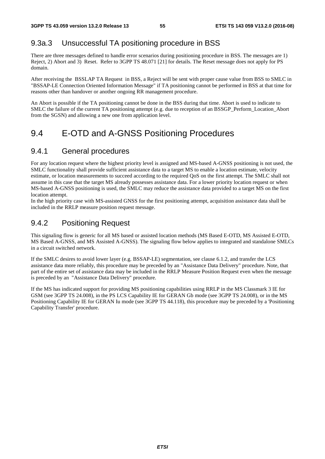# 9.3a.3 Unsuccessful TA positioning procedure in BSS

There are three messages defined to handle error scenarios during positioning procedure in BSS. The messages are 1) Reject, 2) Abort and 3) Reset. Refer to 3GPP TS 48.071 [21] for details. The Reset message does not apply for PS domain.

After receiving the BSSLAP TA Request in BSS, a Reject will be sent with proper cause value from BSS to SMLC in "BSSAP-LE Connection Oriented Information Message" if TA positioning cannot be performed in BSS at that time for reasons other than handover or another ongoing RR management procedure.

An Abort is possible if the TA positioning cannot be done in the BSS during that time. Abort is used to indicate to SMLC the failure of the current TA positioning attempt (e.g. due to reception of an BSSGP\_Perform\_Location\_Abort from the SGSN) and allowing a new one from application level.

# 9.4 E-OTD and A-GNSS Positioning Procedures

## 9.4.1 General procedures

For any location request where the highest priority level is assigned and MS-based A-GNSS positioning is not used, the SMLC functionality shall provide sufficient assistance data to a target MS to enable a location estimate, velocity estimate, or location measurements to succeed according to the required QoS on the first attempt. The SMLC shall not assume in this case that the target MS already possesses assistance data. For a lower priority location request or when MS-based A-GNSS positioning is used, the SMLC may reduce the assistance data provided to a target MS on the first location attempt.

In the high priority case with MS-assisted GNSS for the first positioning attempt, acquisition assistance data shall be included in the RRLP measure position request message.

## 9.4.2 Positioning Request

This signaling flow is generic for all MS based or assisted location methods (MS Based E-OTD, MS Assisted E-OTD, MS Based A-GNSS, and MS Assisted A-GNSS). The signaling flow below applies to integrated and standalone SMLCs in a circuit switched network.

If the SMLC desires to avoid lower layer (e.g. BSSAP-LE) segmentation, see clause 6.1.2, and transfer the LCS assistance data more reliably, this procedure may be preceded by an "Assistance Data Delivery" procedure. Note, that part of the entire set of assistance data may be included in the RRLP Measure Position Request even when the message is preceded by an "Assistance Data Delivery" procedure.

If the MS has indicated support for providing MS positioning capabilities using RRLP in the MS Classmark 3 IE for GSM (see 3GPP TS 24.008), in the PS LCS Capability IE for GERAN Gb mode (see 3GPP TS 24.008), or in the MS Positioning Capability IE for GERAN Iu mode (see 3GPP TS 44.118), this procedure may be preceded by a 'Positioning Capability Transfer' procedure.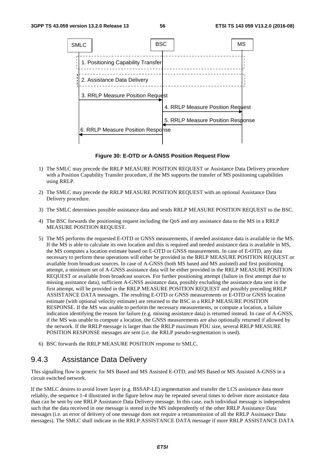

**Figure 30: E-OTD or A-GNSS Position Request Flow** 

- 1) The SMLC may precede the RRLP MEASURE POSITION REQUEST or Assistance Data Delivery procedure with a Position Capability Transfer procedure, if the MS supports the transfer of MS positioning capabilities using RRLP.
- 2) The SMLC may precede the RRLP MEASURE POSITION REQUEST with an optional Assistance Data Delivery procedure.
- 3) The SMLC determines possible assistance data and sends RRLP MEASURE POSITION REQUEST to the BSC.
- 4) The BSC forwards the positioning request including the QoS and any assistance data to the MS in a RRLP MEASURE POSITION REQUEST.
- 5) The MS performs the requested E-OTD or GNSS measurements, if needed assistance data is available in the MS. If the MS is able to calculate its own location and this is required and needed assistance data is available in MS, the MS computes a location estimate based on E-OTD or GNSS measurements. In case of E-OTD, any data necessary to perform these operations will either be provided in the RRLP MEASURE POSITION REQUEST or available from broadcast sources. In case of A-GNSS (both MS based and MS assisted) and first positioning attempt, a minimum set of A-GNSS assistance data will be either provided in the RRLP MEASURE POSITION REQUEST or available from broadcast sources. For further positioning attempt (failure in first attempt due to missing assistance data), sufficient A-GNSS assistance data, possibly excluding the assistance data sent in the first attempt, will be provided in the RRLP MEASURE POSITION REQUEST and possibly preceding RRLP ASSISTANCE DATA messages. The resulting E-OTD or GNSS measurements or E-OTD or GNSS location estimate (with optional velocity estimate) are returned to the BSC in a RRLP MEASURE POSITION RESPONSE. If the MS was unable to perform the necessary measurements, or compute a location, a failure indication identifying the reason for failure (e.g. missing assistance data) is returned instead. In case of A-GNSS, if the MS was unable to compute a location, the GNSS measurements are also optionally returned if allowed by the network. If the RRLP message is larger than the RRLP maximum PDU size, several RRLP MEASURE POSITION RESPONSE messages are sent (i.e. the RRLP pseudo-segmentation is used).
- 6) BSC forwards the RRLP MEASURE POSITION response to SMLC.

## 9.4.3 Assistance Data Delivery

This signalling flow is generic for MS Based and MS Assisted E-OTD, and MS Based or MS Assisted A-GNSS in a circuit switched network.

If the SMLC desires to avoid lower layer (e.g. BSSAP-LE) segmentation and transfer the LCS assistance data more reliably, the sequence 1-4 illustrated in the figure below may be repeated several times to deliver more assistance data than can be sent by one RRLP Assistance Data Delivery message. In this case, each individual message is independent such that the data received in one message is stored in the MS independently of the other RRLP Assistance Data messages (i.e. an error of delivery of one message does not require a retransmission of all the RRLP Assistance Data messages). The SMLC shall indicate in the RRLP ASSISTANCE DATA message if more RRLP ASSISTANCE DATA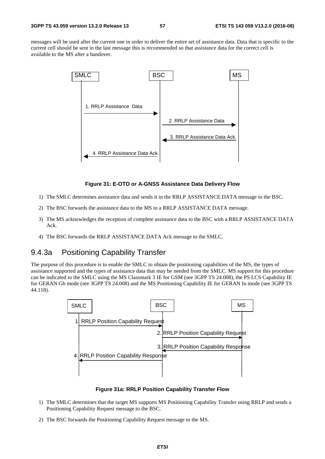messages will be used after the current one in order to deliver the entire set of assistance data. Data that is specific to the current cell should be sent in the last message this is recommended so that assistance data for the correct cell is available to the MS after a handover.



#### **Figure 31: E-OTD or A-GNSS Assistance Data Delivery Flow**

- 1) The SMLC determines assistance data and sends it in the RRLP ASSISTANCE DATA message to the BSC.
- 2) The BSC forwards the assistance data to the MS in a RRLP ASSISTANCE DATA message.
- 3) The MS acknowledges the reception of complete assistance data to the BSC with a RRLP ASSISTANCE DATA Ack.
- 4) The BSC forwards the RRLP ASSISTANCE DATA Ack message to the SMLC.

## 9.4.3a Positioning Capability Transfer

The purpose of this procedure is to enable the SMLC to obtain the positioning capabilities of the MS, the types of assistance supported and the types of assistance data that may be needed from the SMLC. MS support for this procedure can be indicated to the SMLC using the MS Classmark 3 IE for GSM (see 3GPP TS 24.008), the PS LCS Capability IE for GERAN Gb mode (see 3GPP TS 24.008) and the MS Positioning Capability IE for GERAN Iu mode (see 3GPP TS 44.118).



**Figure 31a: RRLP Position Capability Transfer Flow** 

- 1) The SMLC determines that the target MS supports MS Positioning Capability Transfer using RRLP and sends a Positioning Capability Request message to the BSC.
- 2) The BSC forwards the Positioning Capability Request message to the MS.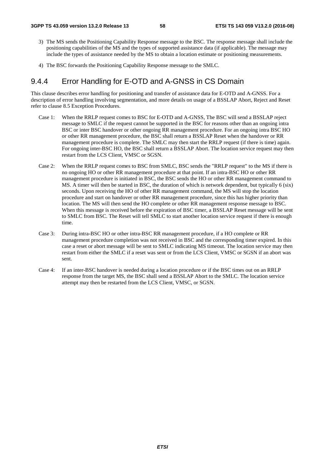- 3) The MS sends the Positioning Capability Response message to the BSC. The response message shall include the positioning capabilities of the MS and the types of supported assistance data (if applicable). The message may include the types of assistance needed by the MS to obtain a location estimate or positioning measurements.
- 4) The BSC forwards the Positioning Capability Response message to the SMLC.

## 9.4.4 Error Handling for E-OTD and A-GNSS in CS Domain

This clause describes error handling for positioning and transfer of assistance data for E-OTD and A-GNSS. For a description of error handling involving segmentation, and more details on usage of a BSSLAP Abort, Reject and Reset refer to clause 8.5 Exception Procedures.

- Case 1: When the RRLP request comes to BSC for E-OTD and A-GNSS, The BSC will send a BSSLAP reject message to SMLC if the request cannot be supported in the BSC for reasons other than an ongoing intra BSC or inter BSC handover or other ongoing RR management procedure. For an ongoing intra BSC HO or other RR management procedure, the BSC shall return a BSSLAP Reset when the handover or RR management procedure is complete. The SMLC may then start the RRLP request (if there is time) again. For ongoing inter-BSC HO, the BSC shall return a BSSLAP Abort. The location service request may then restart from the LCS Client, VMSC or SGSN.
- Case 2: When the RRLP request comes to BSC from SMLC, BSC sends the "RRLP request" to the MS if there is no ongoing HO or other RR management procedure at that point. If an intra-BSC HO or other RR management procedure is initiated in BSC, the BSC sends the HO or other RR management command to MS. A timer will then be started in BSC, the duration of which is network dependent, but typically 6 (six) seconds. Upon receiving the HO of other RR management command, the MS will stop the location procedure and start on handover or other RR management procedure, since this has higher priority than location. The MS will then send the HO complete or other RR management response message to BSC. When this message is received before the expiration of BSC timer, a BSSLAP Reset message will be sent to SMLC from BSC. The Reset will tell SMLC to start another location service request if there is enough time.
- Case 3: During intra-BSC HO or other intra-BSC RR management procedure, if a HO complete or RR management procedure completion was not received in BSC and the corresponding timer expired. In this case a reset or abort message will be sent to SMLC indicating MS timeout. The location service may then restart from either the SMLC if a reset was sent or from the LCS Client, VMSC or SGSN if an abort was sent.
- Case 4: If an inter-BSC handover is needed during a location procedure or if the BSC times out on an RRLP response from the target MS, the BSC shall send a BSSLAP Abort to the SMLC. The location service attempt may then be restarted from the LCS Client, VMSC, or SGSN.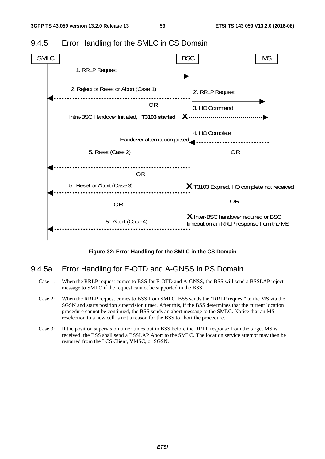

## 9.4.5 Error Handling for the SMLC in CS Domain

**Figure 32: Error Handling for the SMLC in the CS Domain** 

## 9.4.5a Error Handling for E-OTD and A-GNSS in PS Domain

- Case 1: When the RRLP request comes to BSS for E-OTD and A-GNSS, the BSS will send a BSSLAP reject message to SMLC if the request cannot be supported in the BSS.
- Case 2: When the RRLP request comes to BSS from SMLC, BSS sends the "RRLP request" to the MS via the SGSN and starts position supervision timer. After this, if the BSS determines that the current location procedure cannot be continued, the BSS sends an abort message to the SMLC. Notice that an MS reselection to a new cell is not a reason for the BSS to abort the procedure.
- Case 3: If the position supervision timer times out in BSS before the RRLP response from the target MS is received, the BSS shall send a BSSLAP Abort to the SMLC. The location service attempt may then be restarted from the LCS Client, VMSC, or SGSN.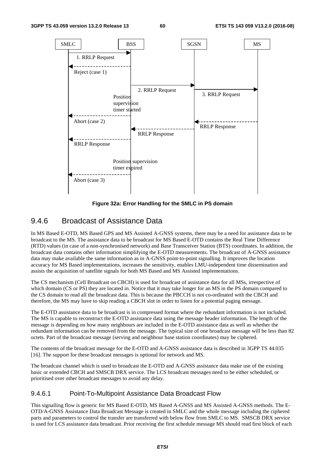

**Figure 32a: Error Handling for the SMLC in PS domain** 

## 9.4.6 Broadcast of Assistance Data

In MS Based E-OTD, MS Based GPS and MS Assisted A-GNSS systems, there may be a need for assistance data to be broadcast to the MS. The assistance data to be broadcast for MS Based E-OTD contains the Real Time Difference (RTD) values (in case of a non-synchronised network) and Base Transceiver Station (BTS) coordinates. In addition, the broadcast data contains other information simplifying the E-OTD measurements. The broadcast of A-GNSS assistance data may make available the same information as in A-GNSS point-to-point signalling. It improves the location accuracy for MS Based implementations, increases the sensitivity, enables LMU-independent time dissemination and assists the acquisition of satellite signals for both MS Based and MS Assisted implementations.

The CS mechanism (Cell Broadcast on CBCH) is used for broadcast of assistance data for all MSs, irrespective of which domain (CS or PS) they are located in. Notice that it may take longer for an MS in the PS domain compared to the CS domain to read all the broadcast data. This is because the PBCCH is not co-ordinated with the CBCH and therefore, the MS may have to skip reading a CBCH slot in order to listen for a potential paging message.

The E-OTD assistance data to be broadcast is in compressed format where the redundant information is not included. The MS is capable to reconstruct the E-OTD assistance data using the message header information. The length of the message is depending on how many neighbours are included in the E-OTD assistance data as well as whether the redundant information can be removed from the message. The typical size of one broadcast message will be less than 82 octets. Part of the broadcast message (serving and neighbour base station coordinates) may be ciphered.

The contents of the broadcast message for the E-OTD and A-GNSS assistance data is described in 3GPP TS 44.035 [16]. The support for these broadcast messages is optional for network and MS.

The broadcast channel which is used to broadcast the E-OTD and A-GNSS assistance data make use of the existing basic or extended CBCH and SMSCB DRX service. The LCS broadcast messages need to be either scheduled, or prioritised over other broadcast messages to avoid any delay.

### 9.4.6.1 Point-To-Multipoint Assistance Data Broadcast Flow

This signalling flow is generic for MS Based E-OTD, MS Based A-GNSS and MS Assisted A-GNSS methods. The E-OTD/A-GNSS Assistance Data Broadcast Message is created in SMLC and the whole message including the ciphered parts and parameters to control the transfer are transferred with below flow from SMLC to MS. SMSCB DRX service is used for LCS assistance data broadcast. Prior receiving the first schedule message MS should read first block of each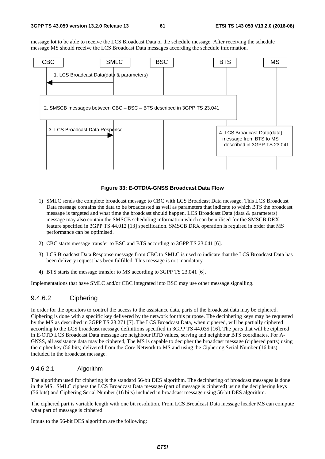message lot to be able to receive the LCS Broadcast Data or the schedule message. After receiving the schedule message MS should receive the LCS Broadcast Data messages according the schedule information.



#### **Figure 33: E-OTD/A-GNSS Broadcast Data Flow**

- 1) SMLC sends the complete broadcast message to CBC with LCS Broadcast Data message. This LCS Broadcast Data message contains the data to be broadcasted as well as parameters that indicate to which BTS the broadcast message is targeted and what time the broadcast should happen. LCS Broadcast Data (data & parameters) message may also contain the SMSCB scheduling information which can be utilised for the SMSCB DRX feature specified in 3GPP TS 44.012 [13] specification. SMSCB DRX operation is required in order that MS performance can be optimised.
- 2) CBC starts message transfer to BSC and BTS according to 3GPP TS 23.041 [6].
- 3) LCS Broadcast Data Response message from CBC to SMLC is used to indicate that the LCS Broadcast Data has been delivery request has been fulfilled. This message is not mandatory
- 4) BTS starts the message transfer to MS according to 3GPP TS 23.041 [6].

Implementations that have SMLC and/or CBC integrated into BSC may use other message signalling.

### 9.4.6.2 Ciphering

In order for the operators to control the access to the assistance data, parts of the broadcast data may be ciphered. Ciphering is done with a specific key delivered by the network for this purpose. The deciphering keys may be requested by the MS as described in 3GPP TS 23.271 [7]. The LCS Broadcast Data, when ciphered, will be partially ciphered according to the LCS broadcast message definitions specified in 3GPP TS 44.035 [16]. The parts that will be ciphered in E-OTD LCS Broadcast Data message are neighbour RTD values, serving and neighbour BTS coordinates. For A-GNSS, all assistance data may be ciphered, The MS is capable to decipher the broadcast message (ciphered parts) using the cipher key (56 bits) delivered from the Core Network to MS and using the Ciphering Serial Number (16 bits) included in the broadcast message.

#### 9.4.6.2.1 Algorithm

The algorithm used for ciphering is the standard 56-bit DES algorithm. The deciphering of broadcast messages is done in the MS. SMLC ciphers the LCS Broadcast Data message (part of message is ciphered) using the deciphering keys (56 bits) and Ciphering Serial Number (16 bits) included in broadcast message using 56-bit DES algorithm.

The ciphered part is variable length with one bit resolution. From LCS Broadcast Data message header MS can compute what part of message is ciphered.

Inputs to the 56-bit DES algorithm are the following: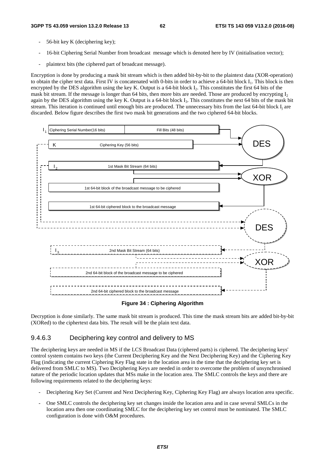- 56-bit key K (deciphering key);
- 16-bit Ciphering Serial Number from broadcast message which is denoted here by IV (initialisation vector);
- plaintext bits (the ciphered part of broadcast message).

Encryption is done by producing a mask bit stream which is then added bit-by-bit to the plaintext data (XOR-operation) to obtain the cipher text data. First IV is concatenated with 0-bits in order to achieve a 64-bit block I<sub>1</sub>. This block is then encrypted by the DES algorithm using the key K. Output is a 64-bit block  $I_2$ . This constitutes the first 64 bits of the mask bit stream. If the message is longer than 64 bits, then more bits are needed. Those are produced by encrypting  $I_2$ again by the DES algorithm using the key K. Output is a 64-bit block  $I_3$ . This constitutes the next 64 bits of the mask bit stream. This iteration is continued until enough bits are produced. The unnecessary bits from the last  $64$ -bit block  $I_i$  are discarded. Below figure describes the first two mask bit generations and the two ciphered 64-bit blocks.



#### **Figure 34 : Ciphering Algorithm**

Decryption is done similarly. The same mask bit stream is produced. This time the mask stream bits are added bit-by-bit (XORed) to the ciphertext data bits. The result will be the plain text data.

#### 9.4.6.3 Deciphering key control and delivery to MS

The deciphering keys are needed in MS if the LCS Broadcast Data (ciphered parts) is ciphered. The deciphering keys' control system contains two keys (the Current Deciphering Key and the Next Deciphering Key) and the Ciphering Key Flag (indicating the current Ciphering Key Flag state in the location area in the time that the deciphering key set is delivered from SMLC to MS). Two Deciphering Keys are needed in order to overcome the problem of unsynchronised nature of the periodic location updates that MSs make in the location area. The SMLC controls the keys and there are following requirements related to the deciphering keys:

- Deciphering Key Set (Current and Next Deciphering Key, Ciphering Key Flag) are always location area specific.
- One SMLC controls the deciphering key set changes inside the location area and in case several SMLCs in the location area then one coordinating SMLC for the deciphering key set control must be nominated. The SMLC configuration is done with O&M procedures.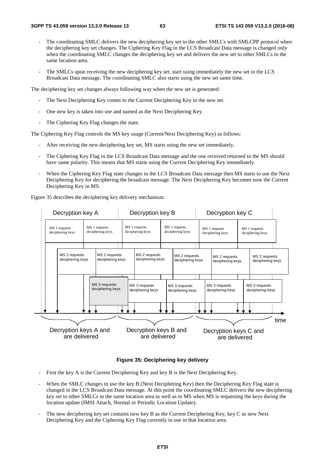- The coordinating SMLC delivers the new deciphering key set to the other SMLCs with SMLCPP protocol when the deciphering key set changes. The Ciphering Key Flag in the LCS Broadcast Data message is changed only when the coordinating SMLC changes the deciphering key set and delivers the new set to other SMLCs in the same location area.
- The SMLCs upon receiving the new deciphering key set, start using immediately the new set in the LCS Broadcast Data message. The coordinating SMLC also starts using the new set same time.

The deciphering key set changes always following way when the new set is generated:

- The Next Deciphering Key comes to the Current Deciphering Key in the new set.
- One new key is taken into use and named as the Next Deciphering Key.
- The Ciphering Key Flag changes the state.

The Ciphering Key Flag controls the MS key usage (Current/Next Deciphering Key) as follows:

- After receiving the new deciphering key set, MS starts using the new set immediately.
- The Ciphering Key Flag in the LCS Broadcast Data message and the one received returned to the MS should have same polarity. This means that MS starts using the Current Deciphering Key immediately.
- When the Ciphering Key Flag state changes in the LCS Broadcast Data message then MS starts to use the Next Deciphering Key for deciphering the broadcast message. The Next Deciphering Key becomes now the Current Deciphering Key in MS.

Figure 35 describes the deciphering key delivery mechanism.

|  | Decryption key A                                                                                            |  |                                   |                                   | Decryption key B                  |                                        |                                   |                                   | Decryption key C                  |                                        |                                   |                                   |      |
|--|-------------------------------------------------------------------------------------------------------------|--|-----------------------------------|-----------------------------------|-----------------------------------|----------------------------------------|-----------------------------------|-----------------------------------|-----------------------------------|----------------------------------------|-----------------------------------|-----------------------------------|------|
|  | MS 1 requests<br>MS 1 requests<br>deciphering keys<br>deciphering keys<br>MS 2 requests<br>deciphering keys |  | ٠                                 |                                   | MS 1 requests<br>deciphering keys |                                        | MS 1 requests<br>deciphering keys |                                   | MS 1 requests<br>deciphering keys |                                        | MS 1 requests<br>deciphering keys |                                   |      |
|  |                                                                                                             |  | MS 2 requests<br>deciphering keys | MS 2 requests<br>deciphering keys |                                   | MS 2 requests<br>deciphering keys      |                                   | MS 2 requests<br>deciphering keys |                                   |                                        | MS 2 requests<br>deciphering keys |                                   |      |
|  |                                                                                                             |  |                                   | MS 3 requests<br>deciphering keys |                                   | MS 3 requests<br>deciphering keys      |                                   | MS 3 requests<br>deciphering keys |                                   | MS 3 requests<br>deciphering keys      |                                   | MS 3 requests<br>deciphering keys |      |
|  | Decryption keys A and<br>are delivered                                                                      |  |                                   |                                   |                                   | Decryption keys B and<br>are delivered |                                   |                                   |                                   | Decryption keys C and<br>are delivered |                                   |                                   | time |

#### **Figure 35: Deciphering key delivery**

- First the key A is the Current Deciphering Key and key B is the Next Deciphering Key.
- When the SMLC changes to use the key B (Next Deciphering Key) then the Deciphering Key Flag state is changed in the LCS Broadcast Data message. At this point the coordinating SMLC delivers the new deciphering key set to other SMLCs in the same location area as well as to MS when MS is requesting the keys during the location update (IMSI Attach, Normal or Periodic Location Update).
- The new deciphering key set contains now key B as the Current Deciphering Key, key C as new Next Deciphering Key and the Ciphering Key Flag currently in use in that location area.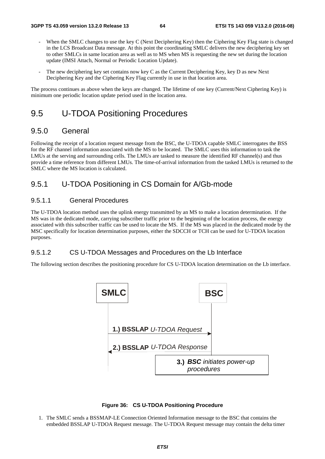- When the SMLC changes to use the key C (Next Deciphering Key) then the Ciphering Key Flag state is changed in the LCS Broadcast Data message. At this point the coordinating SMLC delivers the new deciphering key set to other SMLCs in same location area as well as to MS when MS is requesting the new set during the location update (IMSI Attach, Normal or Periodic Location Update).
- The new deciphering key set contains now key C as the Current Deciphering Key, key D as new Next Deciphering Key and the Ciphering Key Flag currently in use in that location area.

The process continues as above when the keys are changed. The lifetime of one key (Current/Next Ciphering Key) is minimum one periodic location update period used in the location area.

# 9.5 U-TDOA Positioning Procedures

## 9.5.0 General

Following the receipt of a location request message from the BSC, the U-TDOA capable SMLC interrogates the BSS for the RF channel information associated with the MS to be located. The SMLC uses this information to task the LMUs at the serving and surrounding cells. The LMUs are tasked to measure the identified RF channel(s) and thus provide a time reference from different LMUs. The time-of-arrival information from the tasked LMUs is returned to the SMLC where the MS location is calculated.

## 9.5.1 U-TDOA Positioning in CS Domain for A/Gb-mode

### 9.5.1.1 General Procedures

The U-TDOA location method uses the uplink energy transmitted by an MS to make a location determination. If the MS was in the dedicated mode, carrying subscriber traffic prior to the beginning of the location process, the energy associated with this subscriber traffic can be used to locate the MS. If the MS was placed in the dedicated mode by the MSC specifically for location determination purposes, either the SDCCH or TCH can be used for U-TDOA location purposes.

### 9.5.1.2 CS U-TDOA Messages and Procedures on the Lb Interface

The following section describes the positioning procedure for CS U-TDOA location determination on the Lb interface.





1. The SMLC sends a BSSMAP-LE Connection Oriented Information message to the BSC that contains the embedded BSSLAP U-TDOA Request message. The U-TDOA Request message may contain the delta timer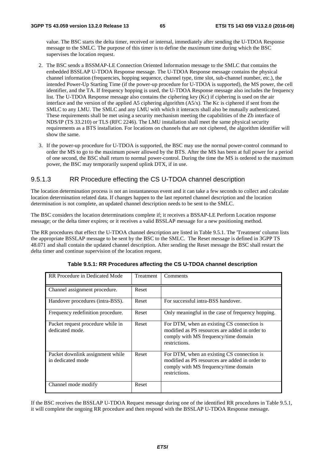value. The BSC starts the delta timer, received or internal, immediately after sending the U-TDOA Response message to the SMLC. The purpose of this timer is to define the maximum time during which the BSC supervises the location request.

- 2. The BSC sends a BSSMAP-LE Connection Oriented Information message to the SMLC that contains the embedded BSSLAP U-TDOA Response message. The U-TDOA Response message contains the physical channel information (frequencies, hopping sequence, channel type, time slot, sub-channel number, etc.), the intended Power-Up Starting Time (if the power-up procedure for U-TDOA is supported), the MS power, the cell identifier, and the TA. If frequency hopping is used, the U-TDOA Response message also includes the frequency list. The U-TDOA Response message also contains the ciphering key (Kc) if ciphering is used on the air interface and the version of the applied A5 ciphering algorithm (A5/x). The Kc is ciphered if sent from the SMLC to any LMU. The SMLC and any LMU with which it interacts shall also be mutually authenticated. These requirements shall be met using a security mechanism meeting the capabilities of the Zb interface of NDS/IP (TS 33.210) or TLS (RFC 2246). The LMU installation shall meet the same physical security requirements as a BTS installation. For locations on channels that are not ciphered, the algorithm identifier will show the same.
- 3. If the power-up procedure for U-TDOA is supported, the BSC may use the normal power-control command to order the MS to go to the maximum power allowed by the BTS. After the MS has been at full power for a period of one second, the BSC shall return to normal power-control. During the time the MS is ordered to the maximum power, the BSC may temporarily suspend uplink DTX, if in use.

#### 9.5.1.3 RR Procedure effecting the CS U-TDOA channel description

The location determination process is not an instantaneous event and it can take a few seconds to collect and calculate location determination related data. If changes happen to the last reported channel description and the location determination is not complete, an updated channel description needs to be sent to the SMLC.

The BSC considers the location determinations complete if; it receives a BSSAP-LE Perform Location response message; or the delta timer expires; or it receives a valid BSSLAP message for a new positioning method.

The RR procedures that effect the U-TDOA channel description are listed in Table 9.5.1. The 'Treatment' column lists the appropriate BSSLAP message to be sent by the BSC to the SMLC. The Reset message is defined in 3GPP TS 48.071 and shall contain the updated channel description. After sending the Reset message the BSC shall restart the delta timer and continue supervision of the location request.

| RR Procedure in Dedicated Mode                        | Treatment | Comments                                                                                                                                              |
|-------------------------------------------------------|-----------|-------------------------------------------------------------------------------------------------------------------------------------------------------|
| Channel assignment procedure.                         | Reset     |                                                                                                                                                       |
| Handover procedures (intra-BSS).                      | Reset     | For successful intra-BSS handover.                                                                                                                    |
| Frequency redefinition procedure.                     | Reset     | Only meaningful in the case of frequency hopping.                                                                                                     |
| Packet request procedure while in<br>dedicated mode.  | Reset     | For DTM, when an existing CS connection is<br>modified as PS resources are added in order to<br>comply with MS frequency/time domain<br>restrictions. |
| Packet downlink assignment while<br>in dedicated mode | Reset     | For DTM, when an existing CS connection is<br>modified as PS resources are added in order to<br>comply with MS frequency/time domain<br>restrictions. |
| Channel mode modify                                   | Reset     |                                                                                                                                                       |

**Table 9.5.1: RR Procedures affecting the CS U-TDOA channel description** 

If the BSC receives the BSSLAP U-TDOA Request message during one of the identified RR procedures in Table 9.5.1, it will complete the ongoing RR procedure and then respond with the BSSLAP U-TDOA Response message.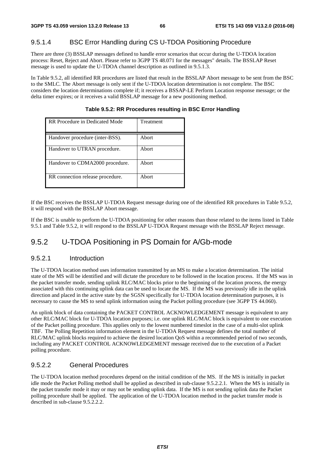## 9.5.1.4 BSC Error Handling during CS U-TDOA Positioning Procedure

There are three (3) BSSLAP messages defined to handle error scenarios that occur during the U-TDOA location process: Reset, Reject and Abort. Please refer to 3GPP TS 48.071 for the messages" details. The BSSLAP Reset message is used to update the U-TDOA channel description as outlined in 9.5.1.3.

In Table 9.5.2, all identified RR procedures are listed that result in the BSSLAP Abort message to be sent from the BSC to the SMLC. The Abort message is only sent if the U-TDOA location determination is not complete. The BSC considers the location determinations complete if; it receives a BSSAP-LE Perform Location response message; or the delta timer expires; or it receives a valid BSSLAP message for a new positioning method.

| RR Procedure in Dedicated Mode   | Treatment |
|----------------------------------|-----------|
| Handover procedure (inter-BSS).  | Abort     |
| Handover to UTRAN procedure.     | Abort     |
| Handover to CDMA2000 procedure.  | Abort     |
| RR connection release procedure. | Abort     |

**Table 9.5.2: RR Procedures resulting in BSC Error Handling** 

If the BSC receives the BSSLAP U-TDOA Request message during one of the identified RR procedures in Table 9.5.2, it will respond with the BSSLAP Abort message.

If the BSC is unable to perform the U-TDOA positioning for other reasons than those related to the items listed in Table 9.5.1 and Table 9.5.2, it will respond to the BSSLAP U-TDOA Request message with the BSSLAP Reject message.

# 9.5.2 U-TDOA Positioning in PS Domain for A/Gb-mode

### 9.5.2.1 Introduction

The U-TDOA location method uses information transmitted by an MS to make a location determination. The initial state of the MS will be identified and will dictate the procedure to be followed in the location process. If the MS was in the packet transfer mode, sending uplink RLC/MAC blocks prior to the beginning of the location process, the energy associated with this continuing uplink data can be used to locate the MS. If the MS was previously idle in the uplink direction and placed in the active state by the SGSN specifically for U-TDOA location determination purposes, it is necessary to cause the MS to send uplink information using the Packet polling procedure (see 3GPP TS 44.060).

An uplink block of data containing the PACKET CONTROL ACKNOWLEDGEMENT message is equivalent to any other RLC/MAC block for U-TDOA location purposes; i.e. one uplink RLC/MAC block is equivalent to one execution of the Packet polling procedure. This applies only to the lowest numbered timeslot in the case of a multi-slot uplink TBF. The Polling Repetition information element in the U-TDOA Request message defines the total number of RLC/MAC uplink blocks required to achieve the desired location QoS within a recommended period of two seconds, including any PACKET CONTROL ACKNOWLEDGEMENT message received due to the execution of a Packet polling procedure.

### 9.5.2.2 General Procedures

The U-TDOA location method procedures depend on the initial condition of the MS. If the MS is initially in packet idle mode the Packet Polling method shall be applied as described in sub-clause 9.5.2.2.1. When the MS is initially in the packet transfer mode it may or may not be sending uplink data. If the MS is not sending uplink data the Packet polling procedure shall be applied. The application of the U-TDOA location method in the packet transfer mode is described in sub-clause 9.5.2.2.2.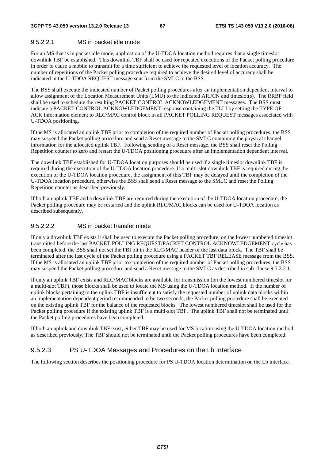#### 9.5.2.2.1 MS in packet idle mode

For an MS that is in packet idle mode, application of the U-TDOA location method requires that a single timeslot downlink TBF be established. This downlink TBF shall be used for repeated executions of the Packet polling procedure in order to cause a mobile to transmit for a time sufficient to achieve the requested level of location accuracy. The number of repetitions of the Packet polling procedure required to achieve the desired level of accuracy shall be indicated in the U-TDOA REQUEST message sent from the SMLC to the BSS.

The BSS shall execute the indicated number of Packet polling procedures after an implementation dependent interval to allow assignment of the Location Measurement Units (LMU) to the indicated ARFCN and timeslot(s). The RRBP field shall be used to schedule the resulting PACKET CONTROL ACKNOWLEDGEMENT messages. The BSS must indicate a PACKET CONTROL ACKNOWLEDGEMENT response containing the TLLI by setting the TYPE OF ACK information element to RLC/MAC control block in all PACKET POLLING REQUEST messages associated with U-TDOA positioning.

If the MS is allocated an uplink TBF prior to completion of the required number of Packet polling procedures, the BSS may suspend the Packet polling procedure and send a Reset message to the SMLC containing the physical channel information for the allocated uplink TBF. Following sending of a Reset message, the BSS shall reset the Polling Repetition counter to zero and restart the U-TDOA positioning procedure after an implementation dependent interval.

The downlink TBF established for U-TDOA location purposes should be used if a single timeslot downlink TBF is required during the execution of the U-TDOA location procedure. If a multi-slot downlink TBF is required during the execution of the U-TDOA location procedure, the assignment of this TBF may be delayed until the completion of the U-TDOA location procedure, otherwise the BSS shall send a Reset message to the SMLC and reset the Polling Repetition counter as described previously.

If both an uplink TBF and a downlink TBF are required during the execution of the U-TDOA location procedure, the Packet polling procedure may be restarted and the uplink RLC/MAC blocks can be used for U-TDOA location as described subsequently.

#### 9.5.2.2.2 MS in packet transfer mode

If only a downlink TBF exists it shall be used to execute the Packet polling procedure, on the lowest numbered timeslot transmitted before the last PACKET POLLING REQUEST/PACKET CONTROL ACKNOWLEDGEMENT cycle has been completed, the BSS shall not set the FBI bit in the RLC/MAC header of the last data block. The TBF shall be terminated after the last cycle of the Packet polling procedure using a PACKET TBF RELEASE message from the BSS. If the MS is allocated an uplink TBF prior to completion of the required number of Packet polling procedures, the BSS may suspend the Packet polling procedure and send a Reset message to the SMLC as described in sub-clause 9.5.2.2.1.

If only an uplink TBF exists and RLC/MAC blocks are available for transmission (on the lowest numbered timeslot for a multi-slot TBF), those blocks shall be used to locate the MS using the U-TDOA location method. If the number of uplink blocks pertaining to the uplink TBF is insufficient to satisfy the requested number of uplink data blocks within an implementation dependent period recommended to be two seconds, the Packet polling procedure shall be executed on the existing uplink TBF for the balance of the requested blocks. The lowest numbered timeslot shall be used for the Packet polling procedure if the existing uplink TBF is a multi-slot TBF. The uplink TBF shall not be terminated until the Packet polling procedures have been completed.

If both an uplink and downlink TBF exist, either TBF may be used for MS location using the U-TDOA location method as described previously. The TBF should not be terminated until the Packet polling procedures have been completed.

### 9.5.2.3 PS U-TDOA Messages and Procedures on the Lb Interface

The following section describes the positioning procedure for PS U-TDOA location determination on the Lb interface.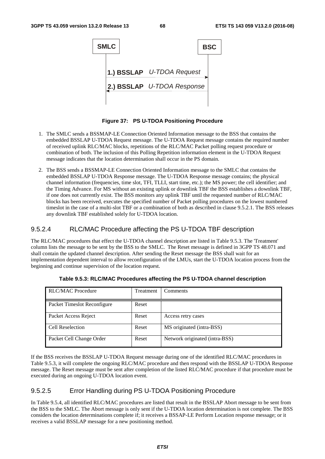| <b>SMLC</b> |                            | <b>BSC</b> |
|-------------|----------------------------|------------|
|             | 1.) BSSLAP U-TDOA Request  |            |
|             | 2.) BSSLAP U-TDOA Response |            |
|             |                            |            |

**Figure 37: PS U-TDOA Positioning Procedure** 

- 1. The SMLC sends a BSSMAP-LE Connection Oriented Information message to the BSS that contains the embedded BSSLAP U-TDOA Request message. The U-TDOA Request message contains the required number of received uplink RLC/MAC blocks, repetitions of the RLC/MAC Packet polling request procedure or combination of both. The inclusion of this Polling Repetition information element in the U-TDOA Request message indicates that the location determination shall occur in the PS domain.
- 2. The BSS sends a BSSMAP-LE Connection Oriented Information message to the SMLC that contains the embedded BSSLAP U-TDOA Response message. The U-TDOA Response message contains; the physical channel information (frequencies, time slot, TFI, TLLI, start time, etc.); the MS power; the cell identifier; and the Timing Advance. For MS without an existing uplink or downlink TBF the BSS establishes a downlink TBF, if one does not currently exist. The BSS monitors any uplink TBF until the requested number of RLC/MAC blocks has been received, executes the specified number of Packet polling procedures on the lowest numbered timeslot in the case of a multi-slot TBF or a combination of both as described in clause 9.5.2.1. The BSS releases any downlink TBF established solely for U-TDOA location.

### 9.5.2.4 RLC/MAC Procedure affecting the PS U-TDOA TBF description

The RLC/MAC procedures that effect the U-TDOA channel description are listed in Table 9.5.3. The 'Treatment' column lists the message to be sent by the BSS to the SMLC. The Reset message is defined in 3GPP TS 48.071 and shall contain the updated channel description. After sending the Reset message the BSS shall wait for an implementation dependent interval to allow reconfiguration of the LMUs, start the U-TDOA location process from the beginning and continue supervision of the location request.

| <b>RLC/MAC Procedure</b>    | Treatment | Comments                       |
|-----------------------------|-----------|--------------------------------|
| Packet Timeslot Reconfigure | Reset     |                                |
| Packet Access Reject        | Reset     | Access retry cases             |
| Cell Reselection            | Reset     | MS originated (intra-BSS)      |
| Packet Cell Change Order    | Reset     | Network originated (intra-BSS) |

**Table 9.5.3: RLC/MAC Procedures affecting the PS U-TDOA channel description** 

If the BSS receives the BSSLAP U-TDOA Request message during one of the identified RLC/MAC procedures in Table 9.5.3, it will complete the ongoing RLC/MAC procedure and then respond with the BSSLAP U-TDOA Response message. The Reset message must be sent after completion of the listed RLC/MAC procedure if that procedure must be executed during an ongoing U-TDOA location event.

### 9.5.2.5 Error Handling during PS U-TDOA Positioning Procedure

In Table 9.5.4, all identified RLC/MAC procedures are listed that result in the BSSLAP Abort message to be sent from the BSS to the SMLC. The Abort message is only sent if the U-TDOA location determination is not complete. The BSS considers the location determinations complete if; it receives a BSSAP-LE Perform Location response message; or it receives a valid BSSLAP message for a new positioning method.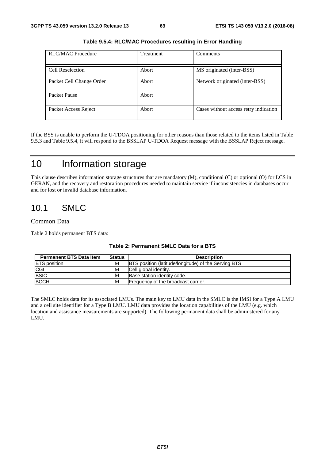| <b>RLC/MAC Procedure</b> | <b>Treatment</b> | Comments                              |
|--------------------------|------------------|---------------------------------------|
| Cell Reselection         | Abort            | MS originated (inter-BSS)             |
| Packet Cell Change Order | Abort            | Network originated (inter-BSS)        |
| Packet Pause             | Abort            |                                       |
| Packet Access Reject     | Abort            | Cases without access retry indication |

**Table 9.5.4: RLC/MAC Procedures resulting in Error Handling** 

If the BSS is unable to perform the U-TDOA positioning for other reasons than those related to the items listed in Table 9.5.3 and Table 9.5.4, it will respond to the BSSLAP U-TDOA Request message with the BSSLAP Reject message.

# 10 Information storage

This clause describes information storage structures that are mandatory (M), conditional (C) or optional (O) for LCS in GERAN, and the recovery and restoration procedures needed to maintain service if inconsistencies in databases occur and for lost or invalid database information.

# 10.1 SMLC

#### Common Data

Table 2 holds permanent BTS data:

| <b>Permanent BTS Data Item</b> | <b>Status</b> | <b>Description</b>                                          |
|--------------------------------|---------------|-------------------------------------------------------------|
| <b>BTS</b> position            | М             | <b>BTS</b> position (latitude/longitude) of the Serving BTS |
| <b>CGI</b>                     | М             | Cell global identity.                                       |
| <b>BSIC</b>                    | М             | Base station identity code.                                 |
| <b>BCCH</b>                    | М             | Frequency of the broadcast carrier.                         |

#### **Table 2: Permanent SMLC Data for a BTS**

The SMLC holds data for its associated LMUs. The main key to LMU data in the SMLC is the IMSI for a Type A LMU and a cell site identifier for a Type B LMU. LMU data provides the location capabilities of the LMU (e.g. which location and assistance measurements are supported). The following permanent data shall be administered for any LMU.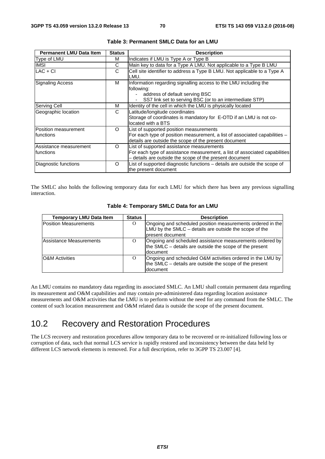| <b>Permanent LMU Data Item</b>       | <b>Status</b> | <b>Description</b>                                                                                                                                                                 |
|--------------------------------------|---------------|------------------------------------------------------------------------------------------------------------------------------------------------------------------------------------|
| Type of LMU                          | м             | Indicates if LMU is Type A or Type B                                                                                                                                               |
| <b>IMSI</b>                          | C             | Main key to data for a Type A LMU. Not applicable to a Type B LMU                                                                                                                  |
| $LAC + CI$                           | C             | Cell site identifier to address a Type B LMU. Not applicable to a Type A<br>LMU.                                                                                                   |
| <b>Signaling Access</b>              | м             | Information regarding signalling access to the LMU including the<br>following:<br>address of default serving BSC<br>SS7 link set to serving BSC (or to an intermediate STP)        |
| Serving Cell                         | м             | Identity of the cell in which the LMU is physically located                                                                                                                        |
| Geographic location                  | C             | Latitude/longitude coordinates<br>Storage of coordinates is mandatory for E-OTD if an LMU is not co-<br>located with a BTS                                                         |
| Position measurement<br>Ifunctions   | O             | List of supported position measurements<br>For each type of position measurement, a list of associated capabilities -<br>details are outside the scope of the present document     |
| Assistance measurement<br>Ifunctions | $\Omega$      | List of supported assistance measurements<br>For each type of assistance measurement, a list of associated capabilities<br>- details are outside the scope of the present document |
| Diagnostic functions                 | O             | List of supported diagnostic functions - details are outside the scope of<br>the present document                                                                                  |

| Table 3: Permanent SMLC Data for an LMU |  |  |  |
|-----------------------------------------|--|--|--|
|-----------------------------------------|--|--|--|

The SMLC also holds the following temporary data for each LMU for which there has been any previous signalling interaction.

| <b>Temporary LMU Data Item</b> | <b>Status</b> | <b>Description</b>                                                                                                                       |
|--------------------------------|---------------|------------------------------------------------------------------------------------------------------------------------------------------|
| <b>Position Measurements</b>   | O             | Ongoing and scheduled position measurements ordered in the<br>LMU by the SMLC – details are outside the scope of the<br>present document |
| Assistance Measurements        | $\Omega$      | Ongoing and scheduled assistance measurements ordered by<br>the SMLC – details are outside the scope of the present<br>document          |
| <b>O&amp;M</b> Activities      | $\Omega$      | Ongoing and scheduled O&M activities ordered in the LMU by<br>the SMLC – details are outside the scope of the present<br>Idocument       |

| Table 4: Temporary SMLC Data for an LMU |  |  |  |  |  |
|-----------------------------------------|--|--|--|--|--|
|-----------------------------------------|--|--|--|--|--|

An LMU contains no mandatory data regarding its associated SMLC. An LMU shall contain permanent data regarding its measurement and O&M capabilities and may contain pre-administered data regarding location assistance measurements and O&M activities that the LMU is to perform without the need for any command from the SMLC. The content of such location measurement and O&M related data is outside the scope of the present document.

# 10.2 Recovery and Restoration Procedures

The LCS recovery and restoration procedures allow temporary data to be recovered or re-initialized following loss or corruption of data, such that normal LCS service is rapidly restored and inconsistency between the data held by different LCS network elements is removed. For a full description, refer to 3GPP TS 23.007 [4].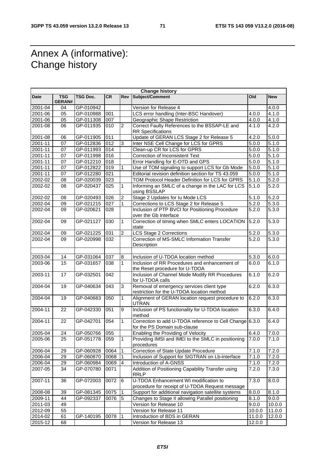# Annex A (informative): Change history

r

| <b>Change history</b> |                             |                 |           |                         |                                                                                          |                    |                    |  |  |  |
|-----------------------|-----------------------------|-----------------|-----------|-------------------------|------------------------------------------------------------------------------------------|--------------------|--------------------|--|--|--|
| Date                  | <b>TSG</b><br><b>GERAN#</b> | <b>TSG Doc.</b> | <b>CR</b> | Rev                     | Subject/Comment                                                                          | <b>Old</b>         | <b>New</b>         |  |  |  |
| 2001-04               | 04                          | GP-010942       |           |                         | Version for Release 4                                                                    |                    | 4.0.0              |  |  |  |
| 2001-06               | 05                          | GP-010988       | 001       |                         | LCS error handling (Inter-BSC Handover)                                                  | 4.0.0              | 4.1.0              |  |  |  |
| 2001-06               | 05                          | GP-011308       | 007       |                         | Geographic Shape Restriction                                                             | 4.0.0              | 4.1.0              |  |  |  |
| 2001-08               | 06                          | GP-011935       | 010       | $\overline{c}$          | Correct Faulty References to the BSSAP-LE and                                            | 4.1.0              | 4.2.0              |  |  |  |
|                       |                             |                 |           |                         | <b>RR Specifications</b>                                                                 |                    |                    |  |  |  |
| 2001-08               | 06                          | GP-011905       | 011       |                         | Update of GERAN LCS Stage 2 for Release 5                                                | 4.2.0              | 5.0.0              |  |  |  |
| 2001-11               | 07                          | GP-012836       | 012       | 3                       | Inter NSE Cell Change for LCS for GPRS                                                   | 5.0.0              | 5.1.0              |  |  |  |
| $2001 - 11$           | 07                          | GP-011993       | 014       |                         | Clean-up CR for LCS for GPRS                                                             | 5.0.0              | 5.1.0              |  |  |  |
| 2001-11               | 07                          | GP-011998       | 016       |                         | Correction of Inconsistent Text                                                          | 5.0.0              | 5.1.0              |  |  |  |
| 2001-11               | 07                          | GP-012210       | 018       |                         | Error Handling for E-OTD and GPS                                                         | 5.0.0              | 5.1.0              |  |  |  |
| 2001-11               | 07                          | GP-012822       | 019       | 1                       | Use of TOM signaling to support LCS for Gb Mode                                          | 5.0.0              | 5.1.0              |  |  |  |
| 2001-11               | 07                          | GP-012280       | 021       |                         | Editorial revision definition section for TS 43.059                                      | 5.0.0              | 5.1.0              |  |  |  |
| 2002-02               | 08                          | GP-020039       | 023       |                         | TOM Protocol Header Definition for LCS for GPRS                                          | 5.1.0              | 5.2.0              |  |  |  |
| 2002-02               | 08                          | GP-020437       | 025       | $\mathbf{1}$            | Informing an SMLC of a change in the LAC for LCS<br>using BSSLAP                         | 5.1.0              | 5.2.0              |  |  |  |
| 2002-02               | 08                          | GP-020493       | 026       | $\overline{2}$          | Stage 2 Updates for lu Mode LCS                                                          | 5.1.0              | 5.2.0              |  |  |  |
| 2002-04               | 09                          | GP-021215       | 027       | $\mathbf{1}$            | Corrections to LCS Stage 2 for Release 5                                                 | 5.2.0              | 5.3.0              |  |  |  |
| 2002-04               | 09                          | GP-020621       | 028       |                         | Inclusion of PTP BVCI for Positioning Procedure<br>over the Gb Interface                 | 5.2.0              | 5.3.0              |  |  |  |
| 2002-04               | 09                          | GP-021127       | 030       | $\mathbf{1}$            | Correction of timing when SMLC enters LOCATION<br>state                                  | 5.2.0              | 5.3.0              |  |  |  |
| 2002-04               | 09                          | GP-021225       | 031       | $\overline{c}$          | LCS Stage 2 Corrections                                                                  | 5.2.0              | 5.3.0              |  |  |  |
| 2002-04               | 09                          | GP-020998       | 032       |                         | Correction of MS-SMLC Information Transfer<br>Description                                | 5.2.0              | 5.3.0              |  |  |  |
|                       |                             |                 |           |                         |                                                                                          |                    |                    |  |  |  |
| 2003-04               | 14                          | GP-031064       | 037       | 8                       | Inclusion of U-TDOA location method                                                      | 5.3.0              | 6.0.0              |  |  |  |
| 2003-06               | 15                          | GP-031657       | 038       | $\mathbf 1$             | Inclusion of RR Procedures and enhancement of<br>the Reset procedure for U-TDOA          | 6.0.0              | 6.1.0              |  |  |  |
| 2003-11               | 17                          | GP-032501       | 042       |                         | Inclusion of Channel Mode Modify RR Procedures<br>for U-TDOA calls                       | 6.1.0              | 6.2.0              |  |  |  |
| 2004-04               | 19                          | GP-040634       | 043       | 3                       | Removal of emergency services client type<br>restriction for the U-TDOA location method  | 6.2.0              | 6.3.0              |  |  |  |
| 2004-04               | 19                          | GP-040683       | 050       | $\mathbf{1}$            | Alignment of GERAN location request procedure to<br><b>UTRAN</b>                         | 6.2.0              | 6.3.0              |  |  |  |
| 2004-11               | 22                          | GP-042330       | 051       | 9                       | Inclusion of PS functionality for U-TDOA location<br>method                              | 6.3.0              | 6.4.0              |  |  |  |
| 2004-11               | 22                          | GP-042701       | 054       | $\mathbf{1}$            | Correction to add U-TDOA reference to Cell Change 6.3.0<br>for the PS Domain sub-clause  |                    | 6.4.0              |  |  |  |
| 2005-04               | 24                          | GP-050766 055   |           |                         | Enabling the Providing of Velocity                                                       | 6.4.0              | $\overline{7}.0.0$ |  |  |  |
| 2005-06               | 25                          | GP-051778       | 059       | $\mathbf{1}$            | Providing IMSI and IMEI to the SMLC in positioning<br>procedures                         | 7.0.0              | 7.1.0              |  |  |  |
| 2006-04               | 29                          | GP-060928       | 0064      | $\mathbf{1}$            | Correction of State Update Procedure                                                     | $\overline{7}.1.0$ | 7.2.0              |  |  |  |
| 2006-04               | 29                          | GP-060870       | 0068      | $\mathbf{1}$            | Inclusion of Support for SIGTRAN on Lb-interface                                         | 7.1.0              | 7.2.0              |  |  |  |
| 2006-04               | 29                          | GP-060984       | 0069      | $\overline{\mathbf{4}}$ | Introduction of A-GNSS                                                                   | 7.1.0              | 7.2.0              |  |  |  |
| 2007-05               | 34                          | GP-070780       | 0071      |                         | Addition of Positioning Capability Transfer using<br><b>RRLP</b>                         | 7.2.0              | 7.3.0              |  |  |  |
| 2007-11               | 36                          | GP-072003       | 0072      | 6                       | U-TDOA Enhancement WI modification to<br>procedure for receipt of U-TDOA Request message | 7.3.0              | 8.0.0              |  |  |  |
| 2008-08               | 39                          | GP-081345       | 0075      | $\overline{1}$          | Support for additional navigation satellite systems                                      | 8.0.0              | 8.1.0              |  |  |  |
| 2009-11               | 44                          | GP-092337       | 0076      | $\overline{5}$          | Changes to Stage II allowing Parallel positioning                                        | 8.1.0              | 9.0.0              |  |  |  |
| 2011-03               | 49                          |                 |           |                         | Version for Release 10                                                                   | 9.0.0              | 10.0.0             |  |  |  |
| 2012-09               | 55                          |                 |           |                         | Version for Release 11                                                                   | 10.0.0             | 11.0.0             |  |  |  |
| 2014-02               | 61                          | GP-140195       | 0078      | 1                       | Introduction of BDS in GERAN                                                             | 11.0.0             | 12.0.0             |  |  |  |
| 2015-12               | 68                          |                 |           |                         | Version for Release 13                                                                   | 12.0.0             |                    |  |  |  |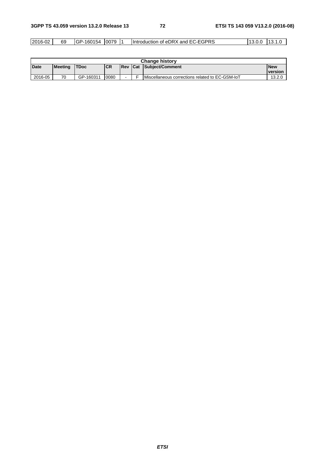| 2016-0∠ | 69 | $\overline{\phantom{0}}$<br>16C<br>71.A<br>.54<br>∕ار ا | 0079 |  | :GPRS<br>of eDRX<br><b>I</b> Introduction<br>and<br>EG-E | $\cdot\cup\ldots$ | .1 <sup>2</sup><br>ט ו |
|---------|----|---------------------------------------------------------|------|--|----------------------------------------------------------|-------------------|------------------------|
|---------|----|---------------------------------------------------------|------|--|----------------------------------------------------------|-------------------|------------------------|

| <b>Change history</b> |                |             |            |                  |  |                                                 |                 |  |
|-----------------------|----------------|-------------|------------|------------------|--|-------------------------------------------------|-----------------|--|
| Date                  | <b>Meeting</b> | <b>TDoc</b> | <b>ICR</b> | <b>IRev ICat</b> |  | Subject/Comment                                 | <b>New</b>      |  |
|                       |                |             |            |                  |  |                                                 | <u>Iversion</u> |  |
| 2016-05               | 70             | GP-160311   | 0080       |                  |  | Miscellaneous corrections related to EC-GSM-IoT | 13.2.0          |  |